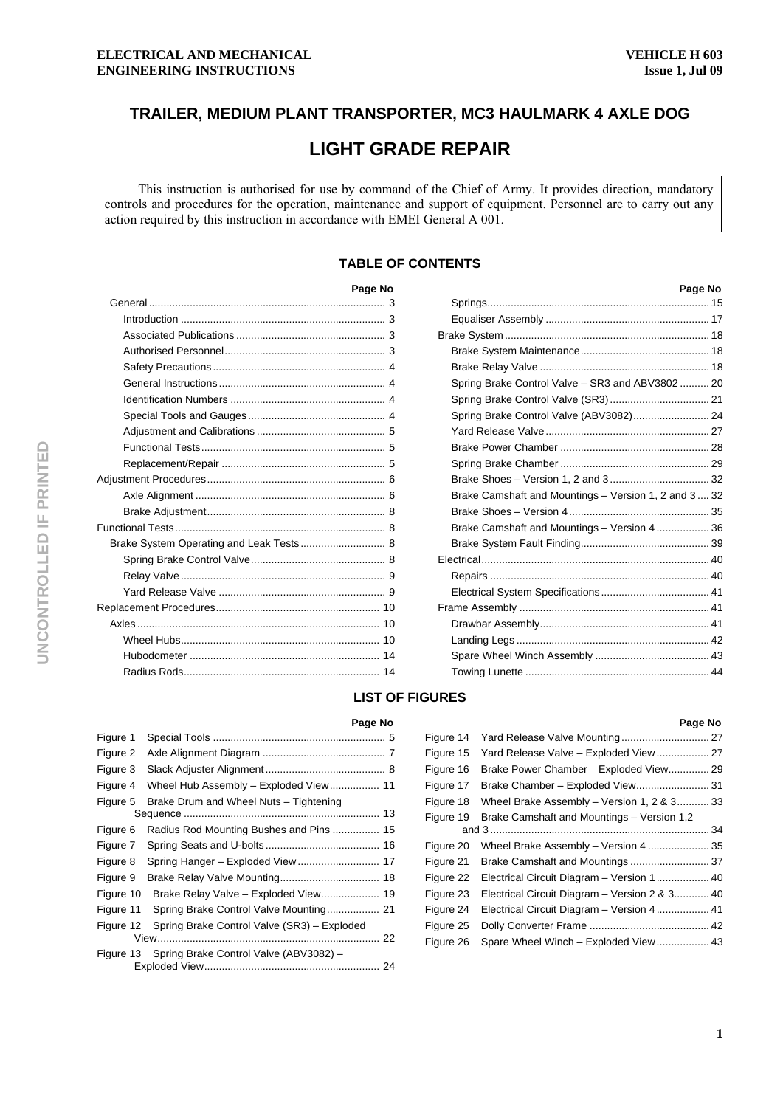# **TRAILER, MEDIUM PLANT TRANSPORTER, MC3 HAULMARK 4 AXLE DOG**

# **LIGHT GRADE REPAIR**

This instruction is authorised for use by command of the Chief of Army. It provides direction, mandatory controls and procedures for the operation, maintenance and support of equipment. Personnel are to carry out any action required by this instruction in accordance with EMEI General A 001.

# **TABLE OF CONTENTS**

|                                         | Page No |
|-----------------------------------------|---------|
|                                         |         |
|                                         |         |
|                                         |         |
|                                         |         |
|                                         |         |
|                                         |         |
|                                         |         |
|                                         |         |
|                                         |         |
|                                         |         |
|                                         |         |
|                                         |         |
|                                         |         |
|                                         |         |
|                                         |         |
| Brake System Operating and Leak Tests 8 |         |
|                                         |         |
|                                         |         |
|                                         |         |
|                                         |         |
|                                         |         |
|                                         |         |
|                                         |         |
|                                         |         |
|                                         |         |

| Page No |                                                      | Page No |
|---------|------------------------------------------------------|---------|
| 3       |                                                      |         |
| 3       |                                                      |         |
| 3       |                                                      |         |
| 3       |                                                      |         |
| . 4     |                                                      |         |
| . 4     | Spring Brake Control Valve - SR3 and ABV3802 20      |         |
| . 4     |                                                      |         |
| . 4     | Spring Brake Control Valve (ABV3082) 24              |         |
| . 5     |                                                      |         |
| . 5     |                                                      |         |
| . 5     |                                                      |         |
| . 6     |                                                      |         |
| 6       | Brake Camshaft and Mountings - Version 1, 2 and 3 32 |         |
| . 8     |                                                      |         |
| . 8     | Brake Camshaft and Mountings - Version 4  36         |         |
| . 8     |                                                      |         |
| . 8     |                                                      |         |
| . 9     |                                                      |         |
| . 9     |                                                      |         |
| . 10    |                                                      |         |
| 10      |                                                      |         |
| . 10    |                                                      |         |
| . 14    |                                                      |         |
| . 14    |                                                      |         |
|         |                                                      |         |

# **LIST OF FIGURES**

#### Figure 1 Special Tools ........................................................... <sup>H</sup>5 Figure 2 Axle Alignment Diagram .......................................... <sup>H</sup>7 Figure 3 Slack Adjuster Alignment ......................................... <sup>H</sup>8 Figure 4 Wheel Hub Assembly – Exploded View................. 11 Figure 5 Brake Drum and Wheel Nuts – Tightening Sequence ................................................................... <sup>H</sup>13 Figure 6 Radius Rod Mounting Bushes and Pins ................ <sup>H</sup>15 Figure 7 Spring Seats and U-bolts ....................................... <sup>H</sup>16 Figure 8 Spring Hanger – Exploded View ............................ <sup>H</sup>17 Figure 9 Brake Relay Valve Mounting.................................. <sup>H</sup>18 Figure 10 Brake Relay Valve – Exploded View...................... 19 Figure 11 Spring Brake Control Valve Mounting.................. 21 Figure 12 Spring Brake Control Valve (SR3) – Exploded View............................................................................ <sup>H</sup>22 Figure 13 Spring Brake Control Valve (ABV3082) – Exploded View............................................................ <sup>H</sup>24

| Page No |           |                                               | Page No |
|---------|-----------|-----------------------------------------------|---------|
| . 5     | Figure 14 |                                               |         |
| . 7     | Figure 15 |                                               |         |
| 8       | Figure 16 | Brake Power Chamber - Exploded View 29        |         |
| .11     | Figure 17 |                                               |         |
|         | Figure 18 | Wheel Brake Assembly - Version 1, 2 & 3 33    |         |
| 13      | Figure 19 | Brake Camshaft and Mountings - Version 1,2    |         |
| 15      |           |                                               | 34      |
| 16      | Figure 20 | Wheel Brake Assembly - Version 4  35          |         |
| .17     | Figure 21 |                                               |         |
| 18      | Figure 22 |                                               |         |
| 19      | Figure 23 | Electrical Circuit Diagram - Version 2 & 3 40 |         |
| 21      | Figure 24 | Electrical Circuit Diagram - Version 4 41     |         |
| ded     | Figure 25 |                                               |         |
| 22      | Figure 26 | Spare Wheel Winch - Exploded View 43          |         |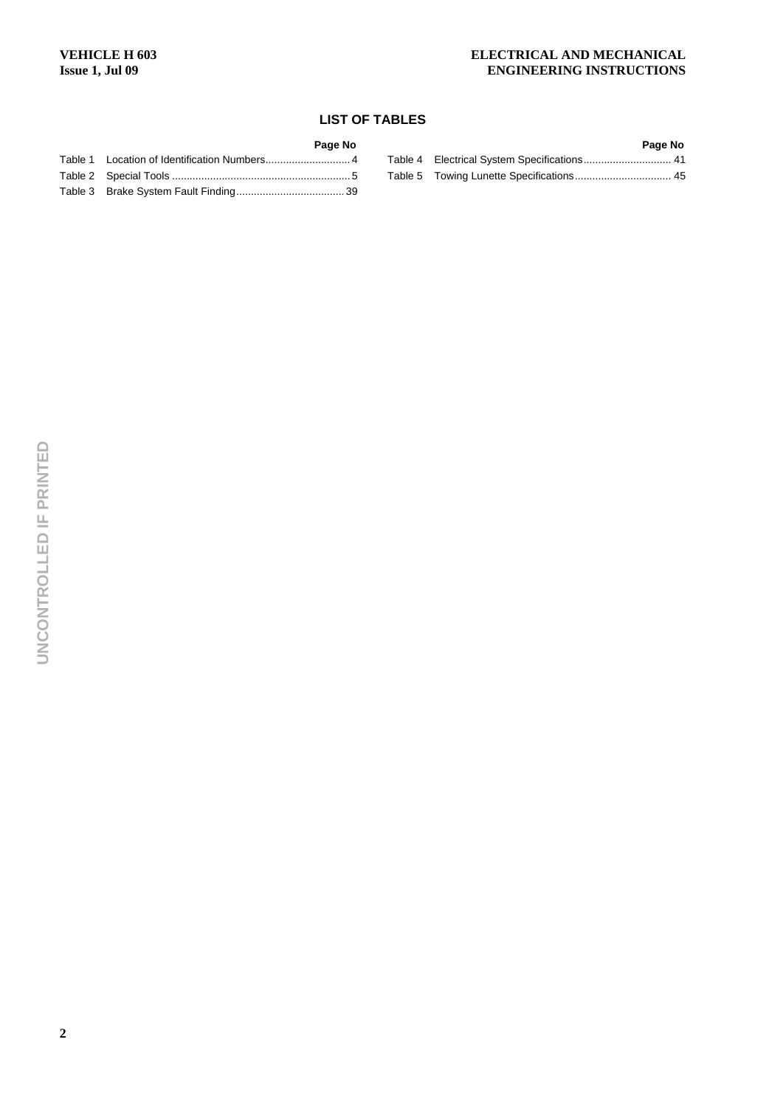# **LIST OF TABLES**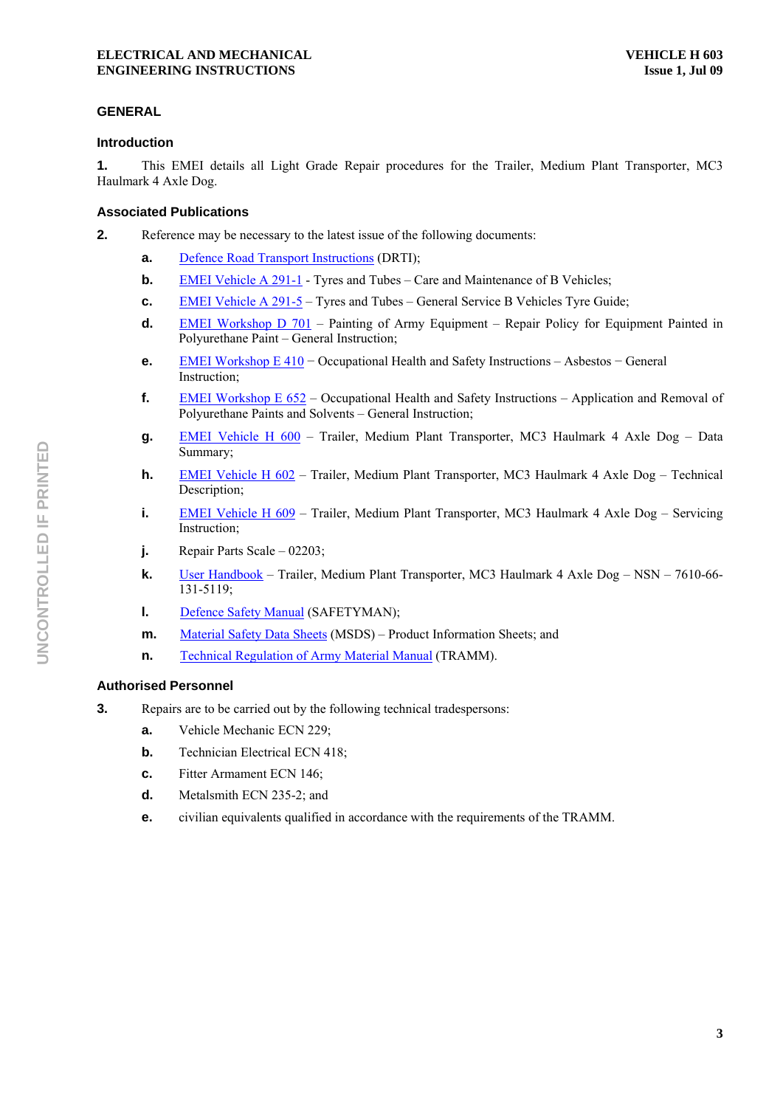# **GENERAL**

# **Introduction**

**1.** This EMEI details all Light Grade Repair procedures for the Trailer, Medium Plant Transporter, MC3 Haulmark 4 Axle Dog.

# **Associated Publications**

**2. Reference may be necessary to the latest issue of the following documents:** 

- **a.** Defence Road Transport Instructions (DRTI);
- **b. EMEI Vehicle A 291-1** Tyres and Tubes Care and Maintenance of B Vehicles;
- **c. EMEI Vehicle A 291-5 Tyres and Tubes General Service B Vehicles Tyre Guide;**
- **d. EMEI Workshop D 701** Painting of Army Equipment Repair Policy for Equipment Painted in Polyurethane Paint – General Instruction;
- **e.** EMEI Workshop E 410 Occupational Health and Safety Instructions Asbestos General Instruction;
- **f.** EMEI Workshop  $E 652 Occupational Health and Safety Instruments Application and Removal of$ Polyurethane Paints and Solvents – General Instruction;
- **g.** EMEI Vehicle H 600 Trailer, Medium Plant Transporter, MC3 Haulmark 4 Axle Dog Data Summary;
- **h. EMEI Vehicle H 602 Trailer, Medium Plant Transporter, MC3 Haulmark 4 Axle Dog Technical** Description;
- **i. EMEI Vehicle H 609 Trailer, Medium Plant Transporter, MC3 Haulmark 4 Axle Dog Servicing** Instruction;
- **j.** Repair Parts Scale 02203;
- **k.** User Handbook Trailer, Medium Plant Transporter, MC3 Haulmark 4 Axle Dog NSN 7610-66-131-5119;
- **l.** Defence Safety Manual (SAFETYMAN);
- **m.** Material Safety Data Sheets (MSDS) Product Information Sheets; and
- **n. Technical Regulation of Army Material Manual (TRAMM).**

# **Authorised Personnel**

- **3.** Repairs are to be carried out by the following technical tradespersons:
	- **a.** Vehicle Mechanic ECN 229;
	- **b. Technician Electrical ECN 418;**
	- **c.** Fitter Armament ECN 146;
	- **d.** Metalsmith ECN 235-2; and
	- **e.** civilian equivalents qualified in accordance with the requirements of the TRAMM.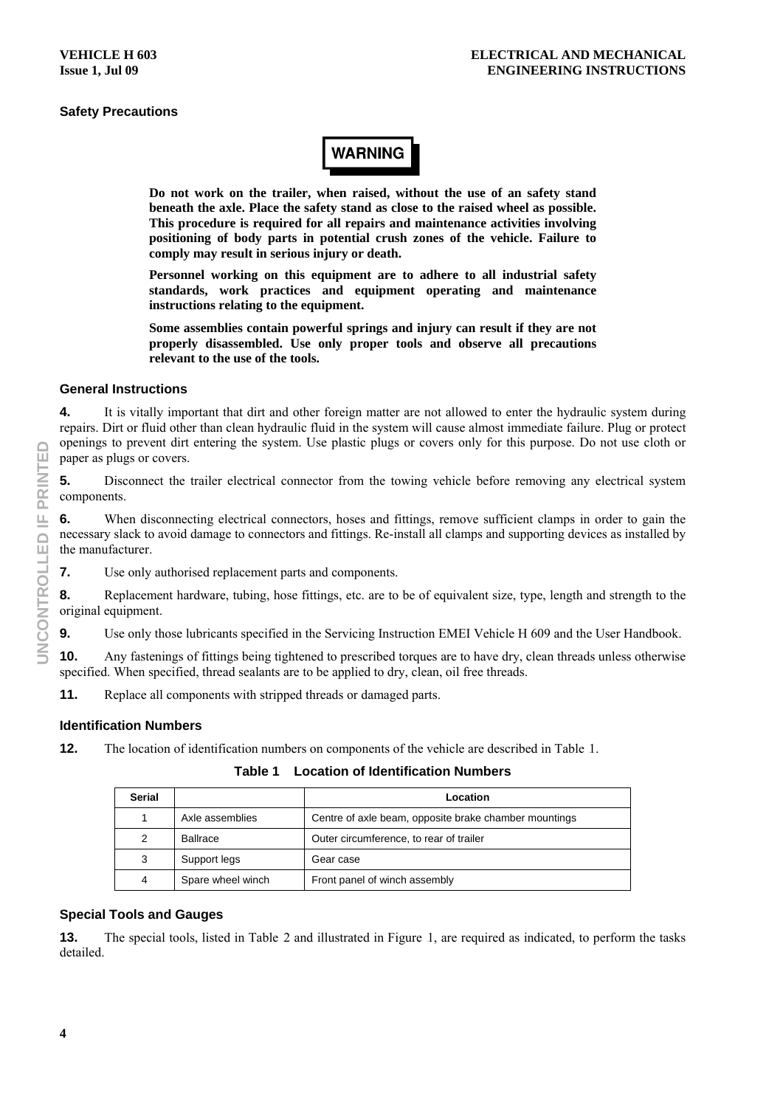# **Safety Precautions**

# **WARNING**

**Do not work on the trailer, when raised, without the use of an safety stand beneath the axle. Place the safety stand as close to the raised wheel as possible. This procedure is required for all repairs and maintenance activities involving positioning of body parts in potential crush zones of the vehicle. Failure to comply may result in serious injury or death.** 

**Personnel working on this equipment are to adhere to all industrial safety standards, work practices and equipment operating and maintenance instructions relating to the equipment.** 

**Some assemblies contain powerful springs and injury can result if they are not properly disassembled. Use only proper tools and observe all precautions relevant to the use of the tools.** 

### **General Instructions**

**4.** It is vitally important that dirt and other foreign matter are not allowed to enter the hydraulic system during repairs. Dirt or fluid other than clean hydraulic fluid in the system will cause almost immediate failure. Plug or protect openings to prevent dirt entering the system. Use plastic plugs or covers only for this purpose. Do not use cloth or paper as plugs or covers.

**5.** Disconnect the trailer electrical connector from the towing vehicle before removing any electrical system components.

**6.** When disconnecting electrical connectors, hoses and fittings, remove sufficient clamps in order to gain the necessary slack to avoid damage to connectors and fittings. Re-install all clamps and supporting devices as installed by the manufacturer.

**7.** Use only authorised replacement parts and components.

**8.** Replacement hardware, tubing, hose fittings, etc. are to be of equivalent size, type, length and strength to the original equipment.

**9.** Use only those lubricants specified in the Servicing Instruction EMEI Vehicle H 609 and the User Handbook.

**10.** Any fastenings of fittings being tightened to prescribed torques are to have dry, clean threads unless otherwise specified. When specified, thread sealants are to be applied to dry, clean, oil free threads.

**11.** Replace all components with stripped threads or damaged parts.

# **Identification Numbers**

**12.** The location of identification numbers on components of the vehicle are described in Table 1.

**Table 1 Location of Identification Numbers** 

| <b>Serial</b>  |                   | Location                                              |
|----------------|-------------------|-------------------------------------------------------|
|                | Axle assemblies   | Centre of axle beam, opposite brake chamber mountings |
| 2              | Ballrace          | Outer circumference, to rear of trailer               |
| 3              | Support legs      | Gear case                                             |
| $\overline{4}$ | Spare wheel winch | Front panel of winch assembly                         |

#### **Special Tools and Gauges**

**13.** The special tools, listed in Table 2 and illustrated in Figure 1, are required as indicated, to perform the tasks detailed.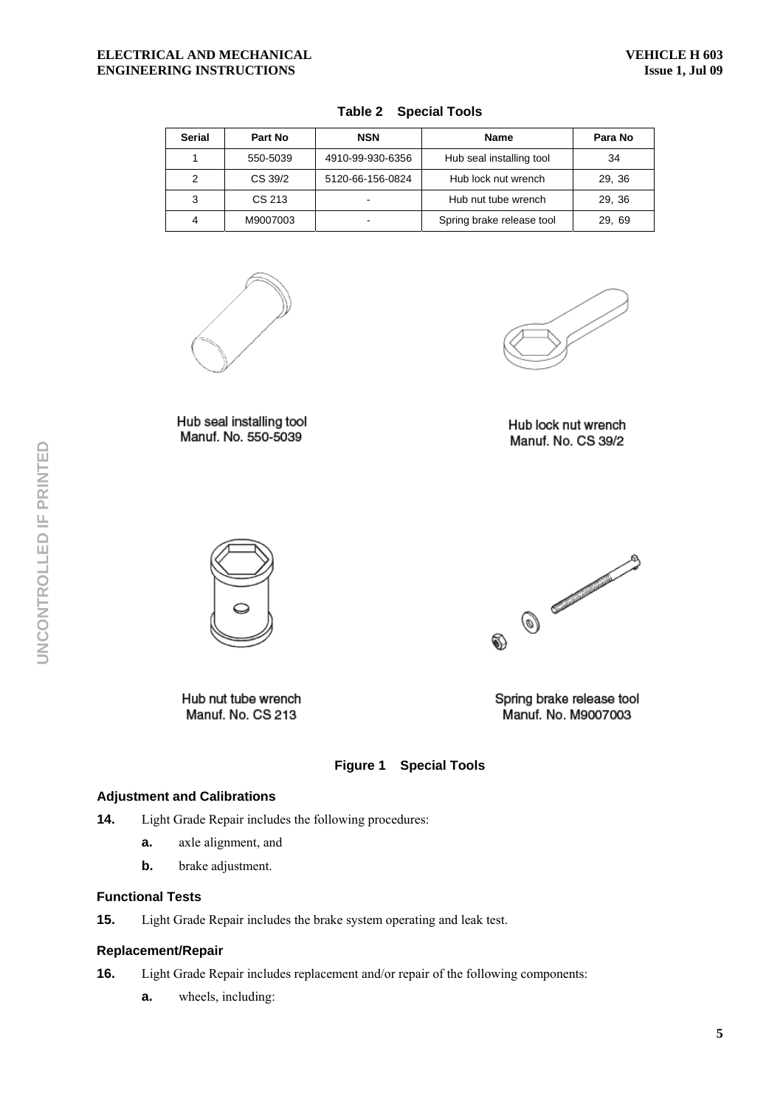| <b>Serial</b> | Part No  | <b>NSN</b>       | <b>Name</b>               | Para No |
|---------------|----------|------------------|---------------------------|---------|
|               | 550-5039 | 4910-99-930-6356 | Hub seal installing tool  | 34      |
| 2             | CS 39/2  | 5120-66-156-0824 | Hub lock nut wrench       | 29, 36  |
| 3             | CS 213   |                  | Hub nut tube wrench       | 29, 36  |
| 4             | M9007003 |                  | Spring brake release tool | 29, 69  |

# **Table 2 Special Tools**



Hub seal installing tool Manuf. No. 550-5039

Hub lock nut wrench Manuf. No. CS 39/2



Hub nut tube wrench Manuf. No. CS 213



Spring brake release tool Manuf. No. M9007003



#### **Adjustment and Calibrations**

- **14.** Light Grade Repair includes the following procedures:
	- **a.** axle alignment, and
	- **b.** brake adjustment.

#### **Functional Tests**

**15.** Light Grade Repair includes the brake system operating and leak test.

# **Replacement/Repair**

- **16.** Light Grade Repair includes replacement and/or repair of the following components:
	- **a.** wheels, including: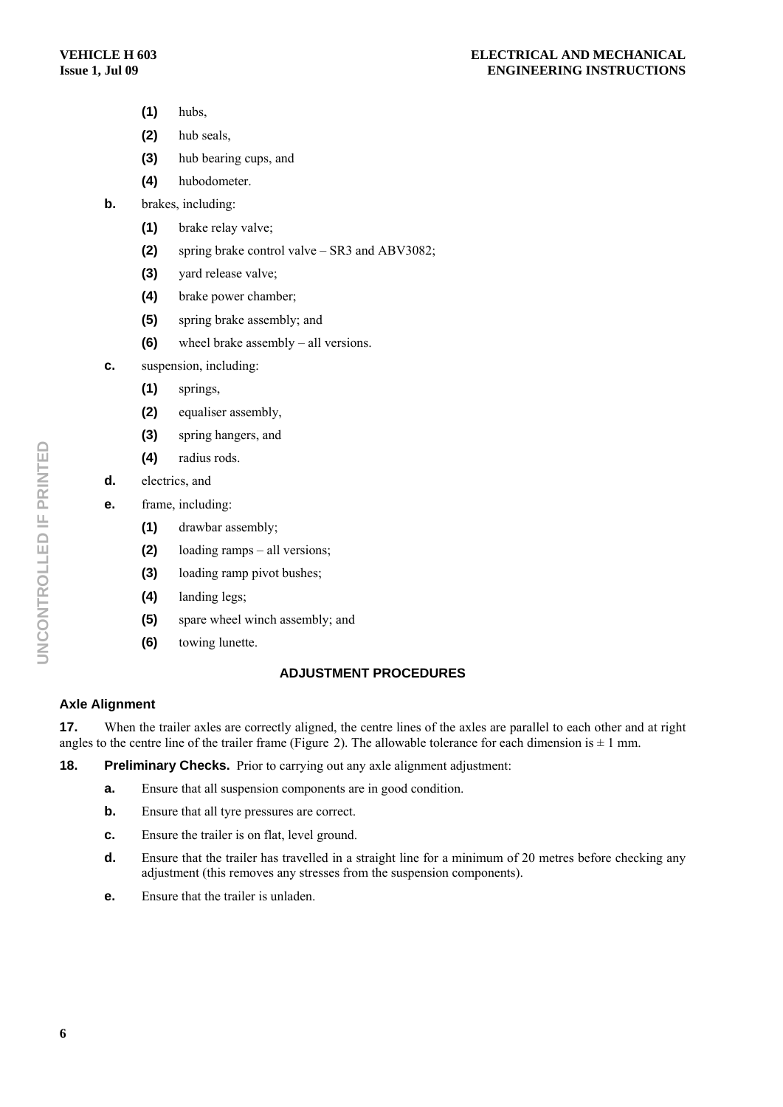- **(1)** hubs,
- **(2)** hub seals,
- **(3)** hub bearing cups, and
- **(4)** hubodometer.
- **b.** brakes, including:
	- **(1)** brake relay valve;
	- **(2)** spring brake control valve SR3 and ABV3082;
	- **(3)** yard release valve;
	- **(4)** brake power chamber;
	- **(5)** spring brake assembly; and
	- **(6)** wheel brake assembly all versions.
- **c.** suspension, including:
	- **(1)** springs,
	- **(2)** equaliser assembly,
	- **(3)** spring hangers, and
	- **(4)** radius rods.
- **d.** electrics, and
- **e.** frame, including:
	- **(1)** drawbar assembly;
	- **(2)** loading ramps all versions;
	- **(3)** loading ramp pivot bushes;
	- **(4)** landing legs;
	- **(5)** spare wheel winch assembly; and
	- **(6)** towing lunette.

# **ADJUSTMENT PROCEDURES**

#### **Axle Alignment**

**17.** When the trailer axles are correctly aligned, the centre lines of the axles are parallel to each other and at right angles to the centre line of the trailer frame (Figure 2). The allowable tolerance for each dimension is  $\pm 1$  mm.

# **18.** Preliminary Checks. Prior to carrying out any axle alignment adjustment:

- **a.** Ensure that all suspension components are in good condition.
- **b.** Ensure that all tyre pressures are correct.
- **c.** Ensure the trailer is on flat, level ground.
- **d.** Ensure that the trailer has travelled in a straight line for a minimum of 20 metres before checking any adjustment (this removes any stresses from the suspension components).
- **e.** Ensure that the trailer is unladen.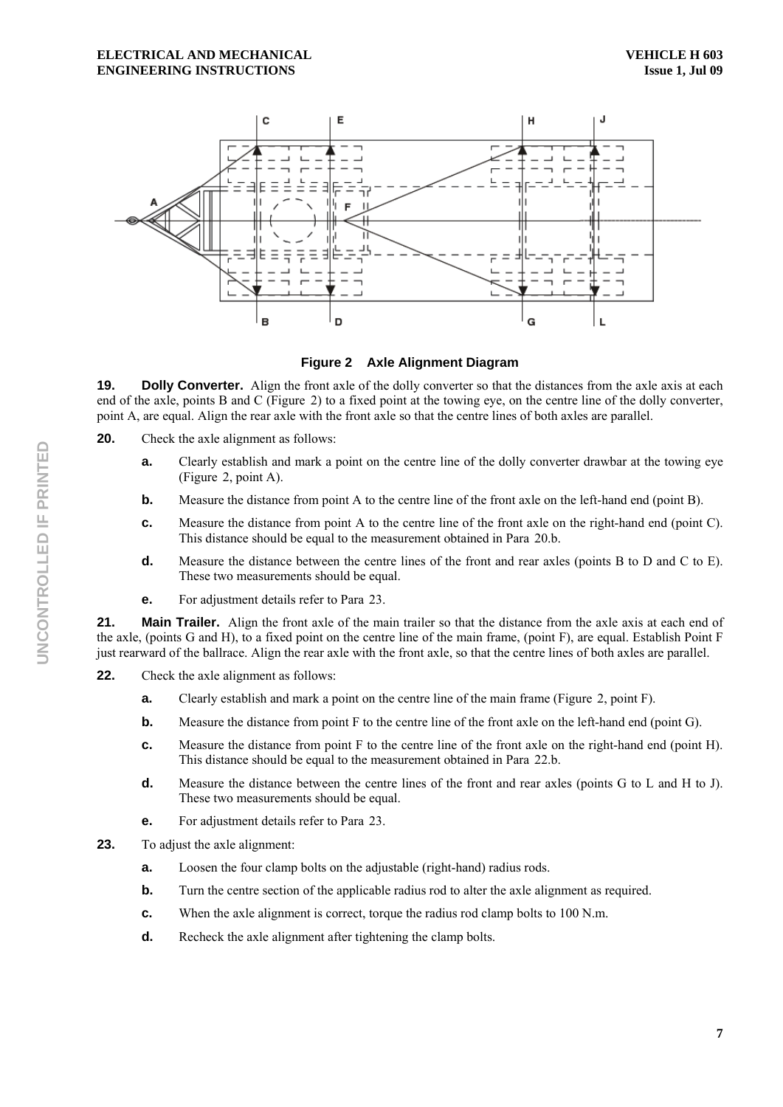

**Figure 2 Axle Alignment Diagram** 

**19. Dolly Converter.** Align the front axle of the dolly converter so that the distances from the axle axis at each end of the axle, points B and C (Figure 2) to a fixed point at the towing eye, on the centre line of the dolly converter, point A, are equal. Align the rear axle with the front axle so that the centre lines of both axles are parallel.

- **20.** Check the axle alignment as follows:
	- **a.** Clearly establish and mark a point on the centre line of the dolly converter drawbar at the towing eye (Figure 2, point A).
	- **b.** Measure the distance from point A to the centre line of the front axle on the left-hand end (point B).
	- **c.** Measure the distance from point A to the centre line of the front axle on the right-hand end (point C). This distance should be equal to the measurement obtained in Para 20.b.
	- **d.** Measure the distance between the centre lines of the front and rear axles (points B to D and C to E). These two measurements should be equal.
	- **e.** For adjustment details refer to Para 23.

**21.** Main Trailer. Align the front axle of the main trailer so that the distance from the axle axis at each end of the axle, (points G and H), to a fixed point on the centre line of the main frame, (point F), are equal. Establish Point F just rearward of the ballrace. Align the rear axle with the front axle, so that the centre lines of both axles are parallel.

- **22.** Check the axle alignment as follows:
	- **a.** Clearly establish and mark a point on the centre line of the main frame (Figure 2, point F).
	- **b.** Measure the distance from point F to the centre line of the front axle on the left-hand end (point G).
	- **c.** Measure the distance from point F to the centre line of the front axle on the right-hand end (point H). This distance should be equal to the measurement obtained in Para 22.b.
	- **d.** Measure the distance between the centre lines of the front and rear axles (points G to L and H to J). These two measurements should be equal.
	- **e.** For adjustment details refer to Para 23.
- **23.** To adjust the axle alignment:
	- **a.** Loosen the four clamp bolts on the adjustable (right-hand) radius rods.
	- **b.** Turn the centre section of the applicable radius rod to alter the axle alignment as required.
	- **c.** When the axle alignment is correct, torque the radius rod clamp bolts to 100 N.m.
	- **d.** Recheck the axle alignment after tightening the clamp bolts.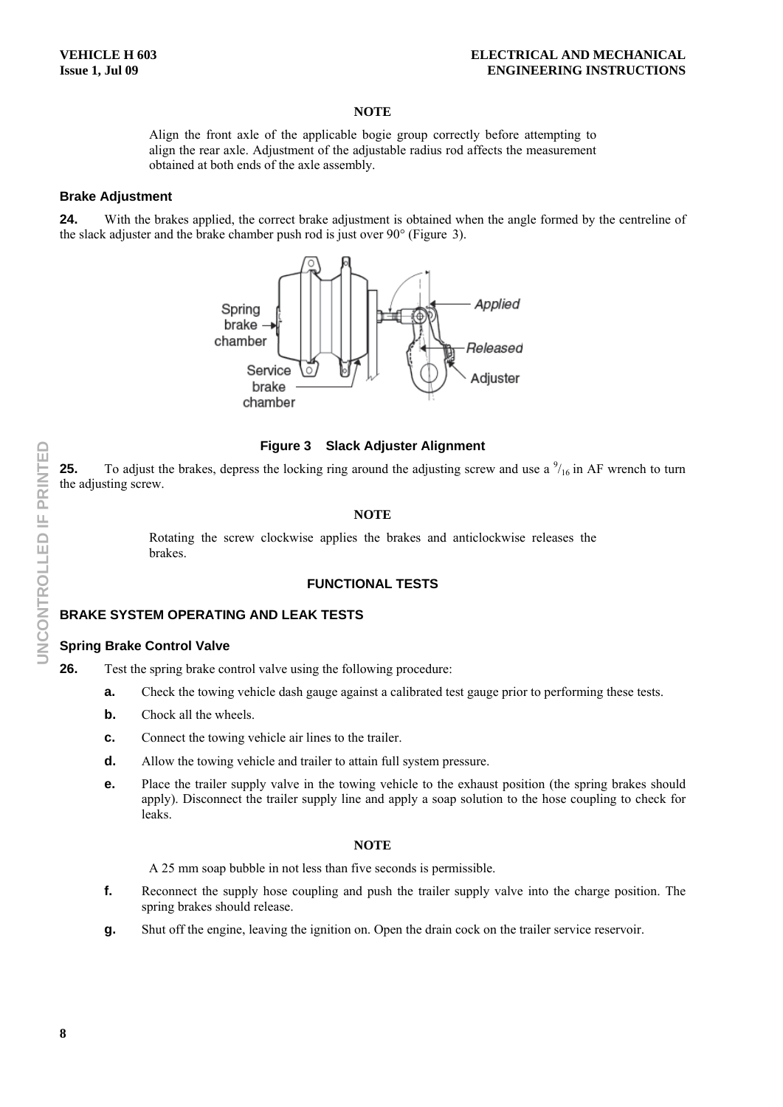Align the front axle of the applicable bogie group correctly before attempting to align the rear axle. Adjustment of the adjustable radius rod affects the measurement obtained at both ends of the axle assembly.

#### **Brake Adjustment**

**24.** With the brakes applied, the correct brake adjustment is obtained when the angle formed by the centreline of the slack adjuster and the brake chamber push rod is just over  $90^{\circ}$  (Figure 3).



### **Figure 3 Slack Adjuster Alignment**

**25.** To adjust the brakes, depress the locking ring around the adjusting screw and use a  $\frac{9}{16}$  in AF wrench to turn the adjusting screw.

# **NOTE**

Rotating the screw clockwise applies the brakes and anticlockwise releases the brakes.

# **FUNCTIONAL TESTS**

## **BRAKE SYSTEM OPERATING AND LEAK TESTS**

#### **Spring Brake Control Valve**

**26.** Test the spring brake control valve using the following procedure:

- **a.** Check the towing vehicle dash gauge against a calibrated test gauge prior to performing these tests.
- **b.** Chock all the wheels.
- **c.** Connect the towing vehicle air lines to the trailer.
- **d.** Allow the towing vehicle and trailer to attain full system pressure.
- **e.** Place the trailer supply valve in the towing vehicle to the exhaust position (the spring brakes should apply). Disconnect the trailer supply line and apply a soap solution to the hose coupling to check for leaks.

#### **NOTE**

A 25 mm soap bubble in not less than five seconds is permissible.

- **f.** Reconnect the supply hose coupling and push the trailer supply valve into the charge position. The spring brakes should release.
- **g.** Shut off the engine, leaving the ignition on. Open the drain cock on the trailer service reservoir.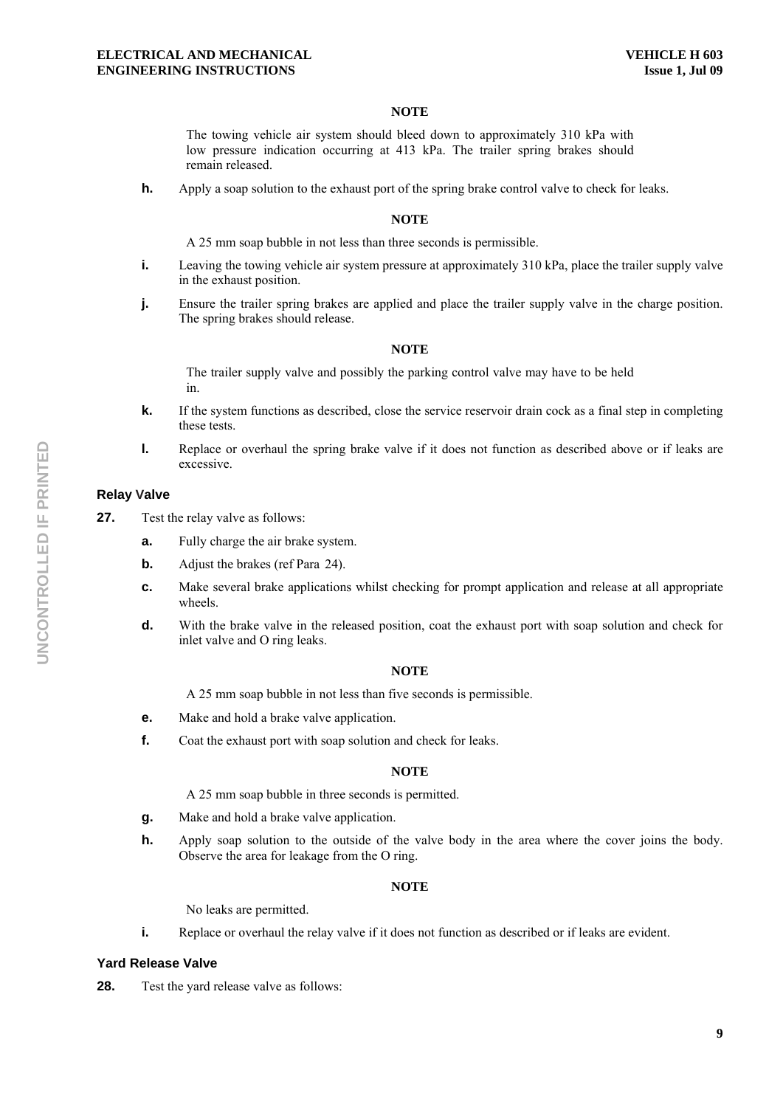The towing vehicle air system should bleed down to approximately 310 kPa with low pressure indication occurring at 413 kPa. The trailer spring brakes should remain released.

**h.** Apply a soap solution to the exhaust port of the spring brake control valve to check for leaks.

#### **NOTE**

A 25 mm soap bubble in not less than three seconds is permissible.

- **i.** Leaving the towing vehicle air system pressure at approximately 310 kPa, place the trailer supply valve in the exhaust position.
- **j.** Ensure the trailer spring brakes are applied and place the trailer supply valve in the charge position. The spring brakes should release.

#### **NOTE**

The trailer supply valve and possibly the parking control valve may have to be held in.

- **k.** If the system functions as described, close the service reservoir drain cock as a final step in completing these tests.
- **l.** Replace or overhaul the spring brake valve if it does not function as described above or if leaks are excessive.

### **Relay Valve**

- **27.** Test the relay valve as follows:
	- **a.** Fully charge the air brake system.
	- **b.** Adjust the brakes (ref Para 24).
	- **c.** Make several brake applications whilst checking for prompt application and release at all appropriate wheels.
	- **d.** With the brake valve in the released position, coat the exhaust port with soap solution and check for inlet valve and O ring leaks.

#### **NOTE**

A 25 mm soap bubble in not less than five seconds is permissible.

- **e.** Make and hold a brake valve application.
- **f.** Coat the exhaust port with soap solution and check for leaks.

#### **NOTE**

A 25 mm soap bubble in three seconds is permitted.

- **g.** Make and hold a brake valve application.
- **h.** Apply soap solution to the outside of the valve body in the area where the cover joins the body. Observe the area for leakage from the O ring.

#### **NOTE**

No leaks are permitted.

**i.** Replace or overhaul the relay valve if it does not function as described or if leaks are evident.

#### **Yard Release Valve**

**28.** Test the vard release valve as follows: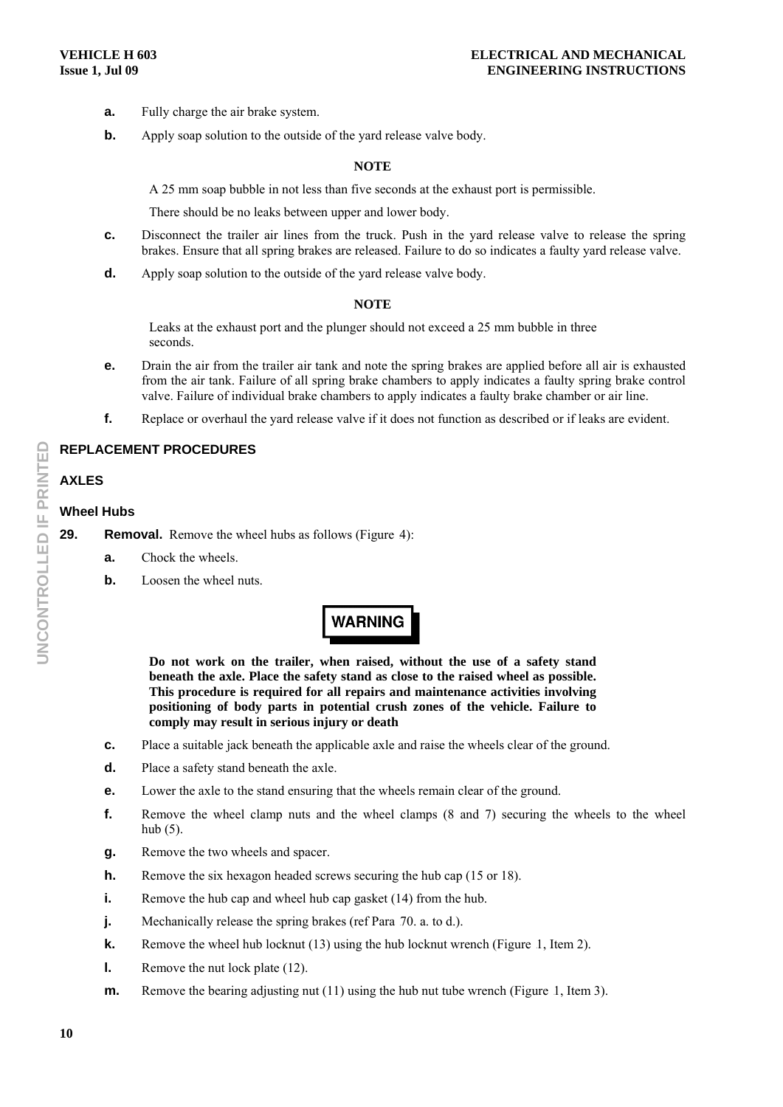- **a.** Fully charge the air brake system.
- **b.** Apply soap solution to the outside of the yard release valve body.

A 25 mm soap bubble in not less than five seconds at the exhaust port is permissible.

There should be no leaks between upper and lower body.

- **c.** Disconnect the trailer air lines from the truck. Push in the yard release valve to release the spring brakes. Ensure that all spring brakes are released. Failure to do so indicates a faulty yard release valve.
- **d.** Apply soap solution to the outside of the yard release valve body.

#### **NOTE**

Leaks at the exhaust port and the plunger should not exceed a 25 mm bubble in three seconds.

- **e.** Drain the air from the trailer air tank and note the spring brakes are applied before all air is exhausted from the air tank. Failure of all spring brake chambers to apply indicates a faulty spring brake control valve. Failure of individual brake chambers to apply indicates a faulty brake chamber or air line.
- **f.** Replace or overhaul the yard release valve if it does not function as described or if leaks are evident.

# **REPLACEMENT PROCEDURES**

# **AXLES**

#### **Wheel Hubs**

**29.** Removal. Remove the wheel hubs as follows (Figure 4):

- **a.** Chock the wheels.
- **b.** Loosen the wheel nuts.

# **WARNING**

**Do not work on the trailer, when raised, without the use of a safety stand beneath the axle. Place the safety stand as close to the raised wheel as possible. This procedure is required for all repairs and maintenance activities involving positioning of body parts in potential crush zones of the vehicle. Failure to comply may result in serious injury or death** 

- **c.** Place a suitable jack beneath the applicable axle and raise the wheels clear of the ground.
- **d.** Place a safety stand beneath the axle.
- **e.** Lower the axle to the stand ensuring that the wheels remain clear of the ground.
- **f.** Remove the wheel clamp nuts and the wheel clamps (8 and 7) securing the wheels to the wheel hub (5).
- **g.** Remove the two wheels and spacer.
- **h.** Remove the six hexagon headed screws securing the hub cap (15 or 18).
- **i.** Remove the hub cap and wheel hub cap gasket (14) from the hub.
- **j.** Mechanically release the spring brakes (ref Para 70. a. to d.).
- **k.** Remove the wheel hub locknut (13) using the hub locknut wrench (Figure 1, Item 2).
- **l.** Remove the nut lock plate (12).
- **m.** Remove the bearing adjusting nut (11) using the hub nut tube wrench (Figure 1, Item 3).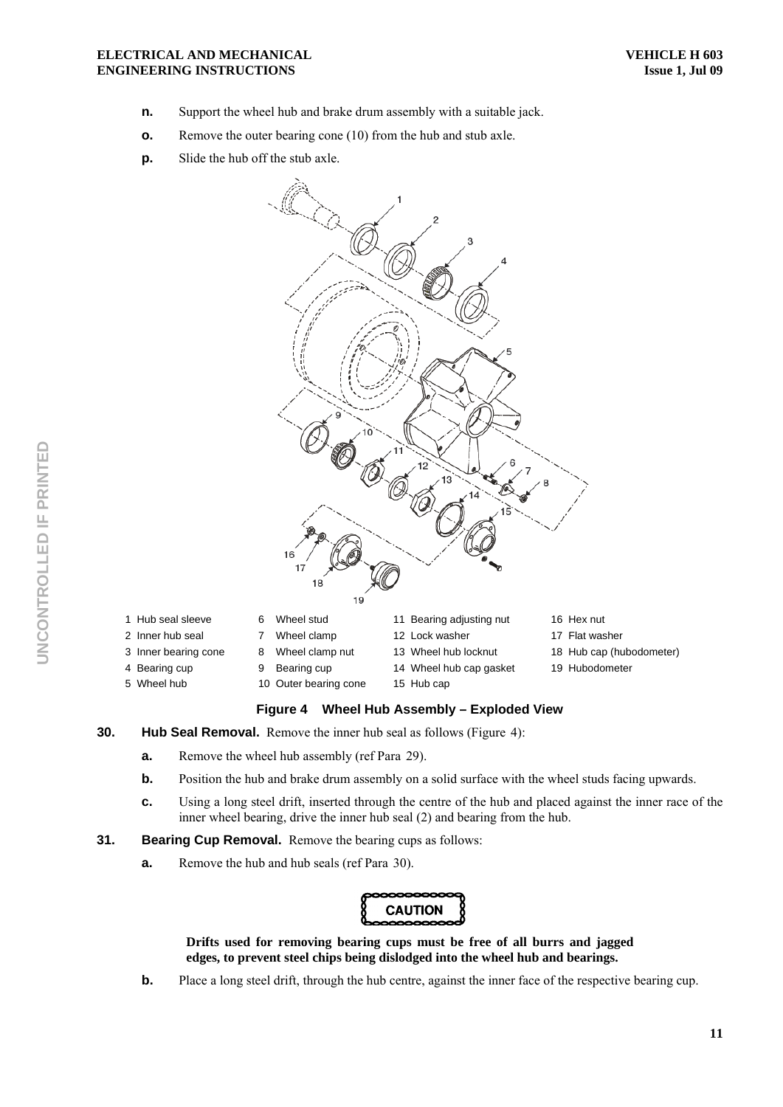- **n.** Support the wheel hub and brake drum assembly with a suitable jack.
- **o.** Remove the outer bearing cone (10) from the hub and stub axle.
- **p.** Slide the hub off the stub axle.



- **30. Hub Seal Removal.** Remove the inner hub seal as follows (Figure 4):
	- **a.** Remove the wheel hub assembly (ref Para 29).
	- **b.** Position the hub and brake drum assembly on a solid surface with the wheel studs facing upwards.
	- **c.** Using a long steel drift, inserted through the centre of the hub and placed against the inner race of the inner wheel bearing, drive the inner hub seal (2) and bearing from the hub.
- **31.** Bearing Cup Removal. Remove the bearing cups as follows:
	- **a.** Remove the hub and hub seals (ref Para 30).



**Drifts used for removing bearing cups must be free of all burrs and jagged edges, to prevent steel chips being dislodged into the wheel hub and bearings.** 

**b.** Place a long steel drift, through the hub centre, against the inner face of the respective bearing cup.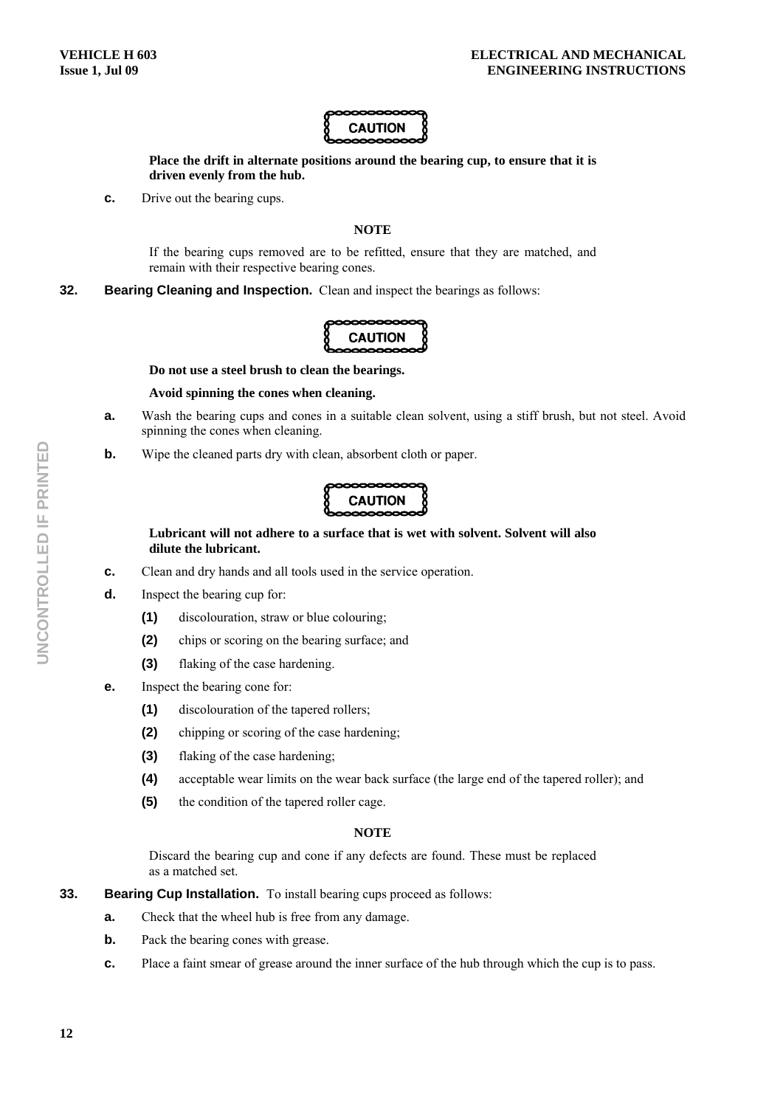

**Place the drift in alternate positions around the bearing cup, to ensure that it is driven evenly from the hub.** 

**c.** Drive out the bearing cups.

# **NOTE**

If the bearing cups removed are to be refitted, ensure that they are matched, and remain with their respective bearing cones.

**32. Bearing Cleaning and Inspection.** Clean and inspect the bearings as follows:



**Do not use a steel brush to clean the bearings.** 

#### **Avoid spinning the cones when cleaning.**

- **a.** Wash the bearing cups and cones in a suitable clean solvent, using a stiff brush, but not steel. Avoid spinning the cones when cleaning.
- **b.** Wipe the cleaned parts dry with clean, absorbent cloth or paper.



# **Lubricant will not adhere to a surface that is wet with solvent. Solvent will also dilute the lubricant.**

- **c.** Clean and dry hands and all tools used in the service operation.
- **d.** Inspect the bearing cup for:
	- **(1)** discolouration, straw or blue colouring;
	- **(2)** chips or scoring on the bearing surface; and
	- **(3)** flaking of the case hardening.
- **e.** Inspect the bearing cone for:
	- **(1)** discolouration of the tapered rollers;
	- **(2)** chipping or scoring of the case hardening;
	- **(3)** flaking of the case hardening;
	- **(4)** acceptable wear limits on the wear back surface (the large end of the tapered roller); and
	- **(5)** the condition of the tapered roller cage.

#### **NOTE**

Discard the bearing cup and cone if any defects are found. These must be replaced as a matched set.

- **33. Bearing Cup Installation.** To install bearing cups proceed as follows:
	- **a.** Check that the wheel hub is free from any damage.
	- **b.** Pack the bearing cones with grease.
	- **c.** Place a faint smear of grease around the inner surface of the hub through which the cup is to pass.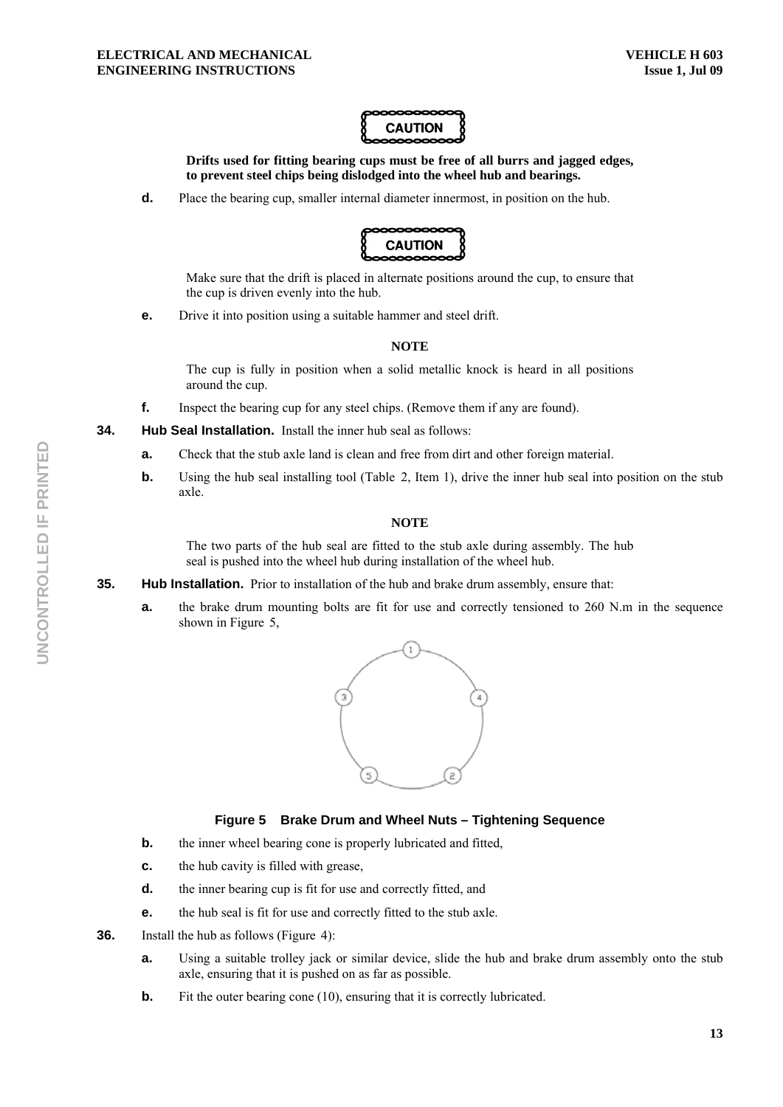

**Drifts used for fitting bearing cups must be free of all burrs and jagged edges, to prevent steel chips being dislodged into the wheel hub and bearings.** 

**d.** Place the bearing cup, smaller internal diameter innermost, in position on the hub.



Make sure that the drift is placed in alternate positions around the cup, to ensure that the cup is driven evenly into the hub.

**e.** Drive it into position using a suitable hammer and steel drift.

### **NOTE**

The cup is fully in position when a solid metallic knock is heard in all positions around the cup.

**f.** Inspect the bearing cup for any steel chips. (Remove them if any are found).

**34. Hub Seal Installation.** Install the inner hub seal as follows:

- **a.** Check that the stub axle land is clean and free from dirt and other foreign material.
- **b.** Using the hub seal installing tool (Table 2, Item 1), drive the inner hub seal into position on the stub axle.

#### **NOTE**

The two parts of the hub seal are fitted to the stub axle during assembly. The hub seal is pushed into the wheel hub during installation of the wheel hub.

- **35.** Hub Installation. Prior to installation of the hub and brake drum assembly, ensure that:
	- **a.** the brake drum mounting bolts are fit for use and correctly tensioned to 260 N.m in the sequence shown in Figure  $5$ ,



# **Figure 5 Brake Drum and Wheel Nuts – Tightening Sequence**

- **b.** the inner wheel bearing cone is properly lubricated and fitted,
- **c.** the hub cavity is filled with grease,
- **d.** the inner bearing cup is fit for use and correctly fitted, and
- **e.** the hub seal is fit for use and correctly fitted to the stub axle.
- **36.** Install the hub as follows (Figure 4):
	- **a.** Using a suitable trolley jack or similar device, slide the hub and brake drum assembly onto the stub axle, ensuring that it is pushed on as far as possible.
	- **b.** Fit the outer bearing cone (10), ensuring that it is correctly lubricated.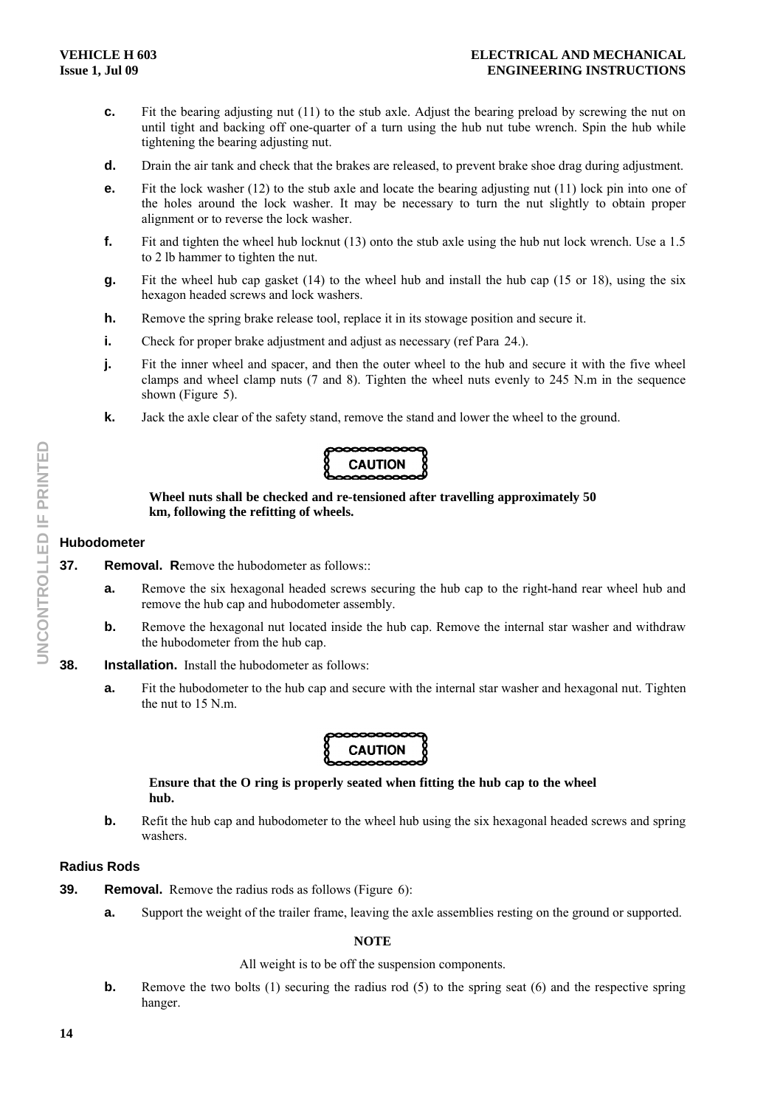- **c.** Fit the bearing adjusting nut (11) to the stub axle. Adjust the bearing preload by screwing the nut on until tight and backing off one-quarter of a turn using the hub nut tube wrench. Spin the hub while tightening the bearing adjusting nut.
- **d.** Drain the air tank and check that the brakes are released, to prevent brake shoe drag during adjustment.
- **e.** Fit the lock washer (12) to the stub axle and locate the bearing adjusting nut (11) lock pin into one of the holes around the lock washer. It may be necessary to turn the nut slightly to obtain proper alignment or to reverse the lock washer.
- **f.** Fit and tighten the wheel hub locknut (13) onto the stub axle using the hub nut lock wrench. Use a 1.5 to 2 lb hammer to tighten the nut.
- **g.** Fit the wheel hub cap gasket (14) to the wheel hub and install the hub cap (15 or 18), using the six hexagon headed screws and lock washers.
- **h.** Remove the spring brake release tool, replace it in its stowage position and secure it.
- **i.** Check for proper brake adjustment and adjust as necessary (ref Para 24.).
- **j.** Fit the inner wheel and spacer, and then the outer wheel to the hub and secure it with the five wheel clamps and wheel clamp nuts (7 and 8). Tighten the wheel nuts evenly to 245 N.m in the sequence shown (Figure 5).
- **k.** Jack the axle clear of the safety stand, remove the stand and lower the wheel to the ground.

# **CAUTION**

#### **Wheel nuts shall be checked and re-tensioned after travelling approximately 50 km, following the refitting of wheels.**

### **Hubodometer**

- **37.** Removal. Remove the hubodometer as follows:
	- **a.** Remove the six hexagonal headed screws securing the hub cap to the right-hand rear wheel hub and remove the hub cap and hubodometer assembly.
	- **b.** Remove the hexagonal nut located inside the hub cap. Remove the internal star washer and withdraw the hubodometer from the hub cap.
- **38. Installation.** Install the hubodometer as follows:
	- **a.** Fit the hubodometer to the hub cap and secure with the internal star washer and hexagonal nut. Tighten the nut to 15 N.m.



# **Ensure that the O ring is properly seated when fitting the hub cap to the wheel hub.**

**b.** Refit the hub cap and hubodometer to the wheel hub using the six hexagonal headed screws and spring washers.

# **Radius Rods**

- **39. Removal.** Remove the radius rods as follows (Figure 6):
	- **a.** Support the weight of the trailer frame, leaving the axle assemblies resting on the ground or supported.

# **NOTE**

# All weight is to be off the suspension components.

**b.** Remove the two bolts (1) securing the radius rod (5) to the spring seat (6) and the respective spring hanger.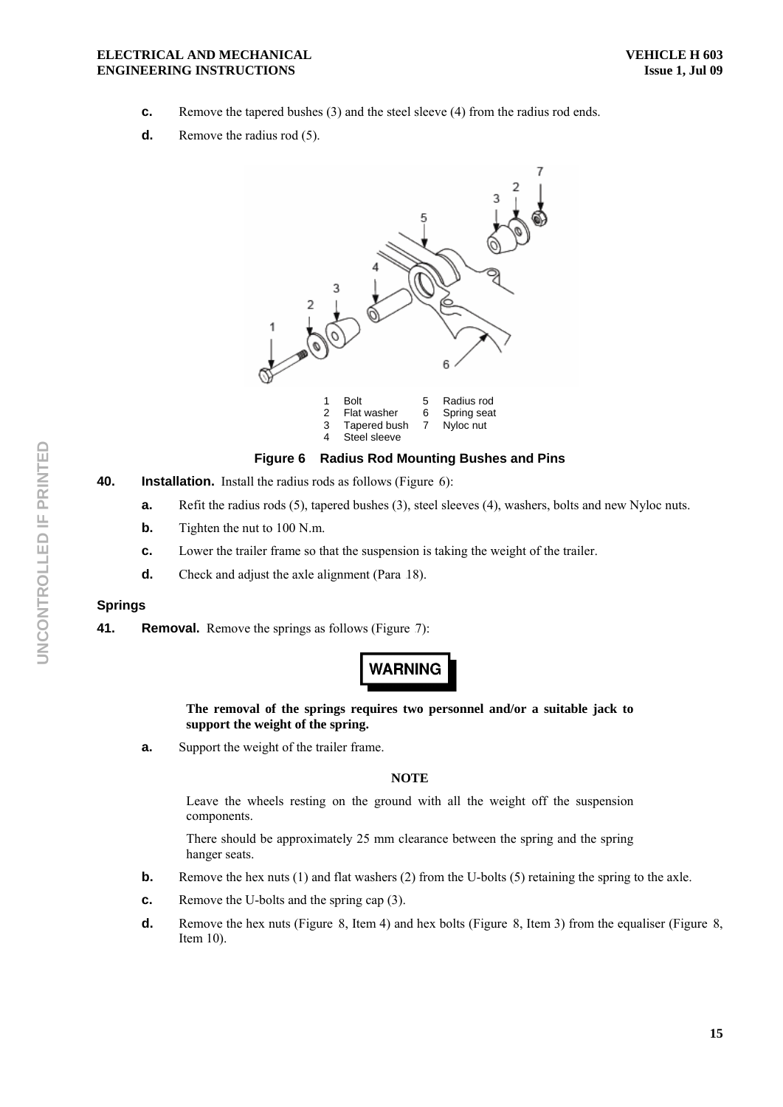- **c.** Remove the tapered bushes (3) and the steel sleeve (4) from the radius rod ends.
- **d.** Remove the radius rod (5).



# **Figure 6 Radius Rod Mounting Bushes and Pins**

- **40.** Installation. Install the radius rods as follows (Figure 6):
	- **a.** Refit the radius rods (5), tapered bushes (3), steel sleeves (4), washers, bolts and new Nyloc nuts.
	- **b.** Tighten the nut to 100 N.m.
	- **c.** Lower the trailer frame so that the suspension is taking the weight of the trailer.
	- **d.** Check and adjust the axle alignment (Para 18).

# **Springs**

**41.** Removal. Remove the springs as follows (Figure 7):

# **WARNING**

### **The removal of the springs requires two personnel and/or a suitable jack to support the weight of the spring.**

**a.** Support the weight of the trailer frame.

#### **NOTE**

Leave the wheels resting on the ground with all the weight off the suspension components.

There should be approximately 25 mm clearance between the spring and the spring hanger seats.

- **b.** Remove the hex nuts (1) and flat washers (2) from the U-bolts (5) retaining the spring to the axle.
- **c.** Remove the U-bolts and the spring cap (3).
- **d.** Remove the hex nuts (Figure 8, Item 4) and hex bolts (Figure 8, Item 3) from the equaliser (Figure 8, Item 10).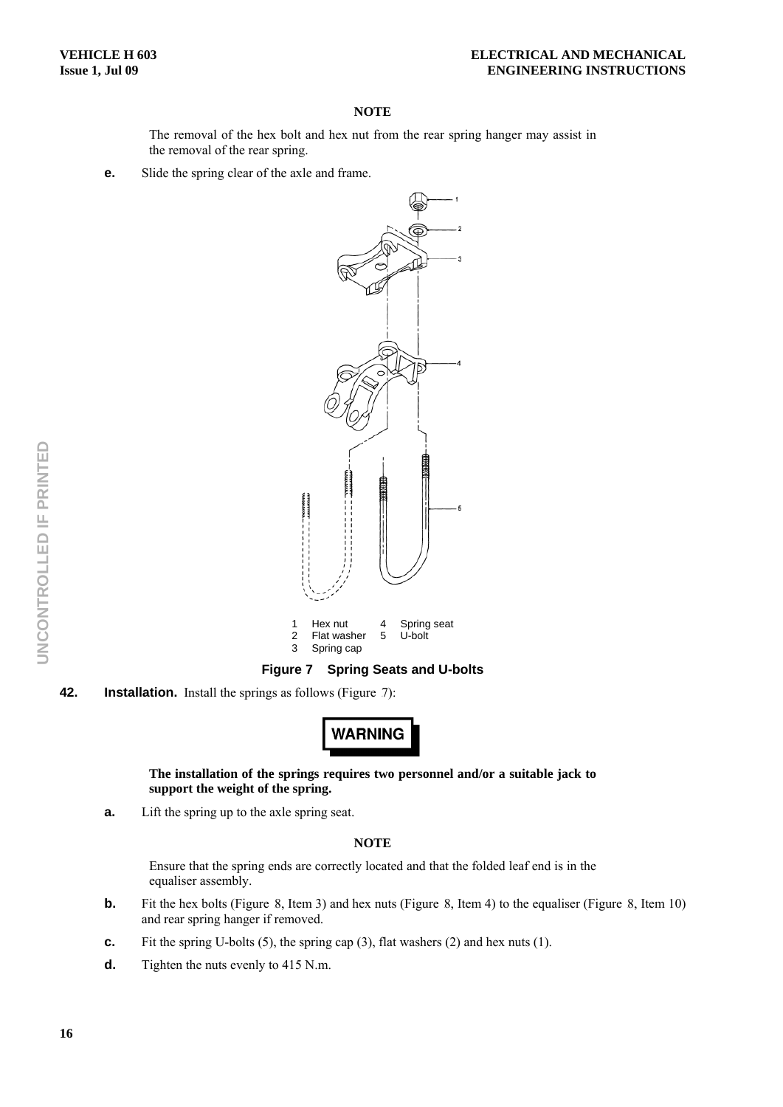The removal of the hex bolt and hex nut from the rear spring hanger may assist in the removal of the rear spring.

**e.** Slide the spring clear of the axle and frame.



**Figure 7 Spring Seats and U-bolts** 

**42.** Installation. Install the springs as follows (Figure 7):

**WARNING** 

### **The installation of the springs requires two personnel and/or a suitable jack to support the weight of the spring.**

**a.** Lift the spring up to the axle spring seat.

#### **NOTE**

Ensure that the spring ends are correctly located and that the folded leaf end is in the equaliser assembly.

- **b.** Fit the hex bolts (Figure 8, Item 3) and hex nuts (Figure 8, Item 4) to the equaliser (Figure 8, Item 10) and rear spring hanger if removed.
- **c.** Fit the spring U-bolts (5), the spring cap (3), flat washers (2) and hex nuts (1).
- **d.** Tighten the nuts evenly to 415 N.m.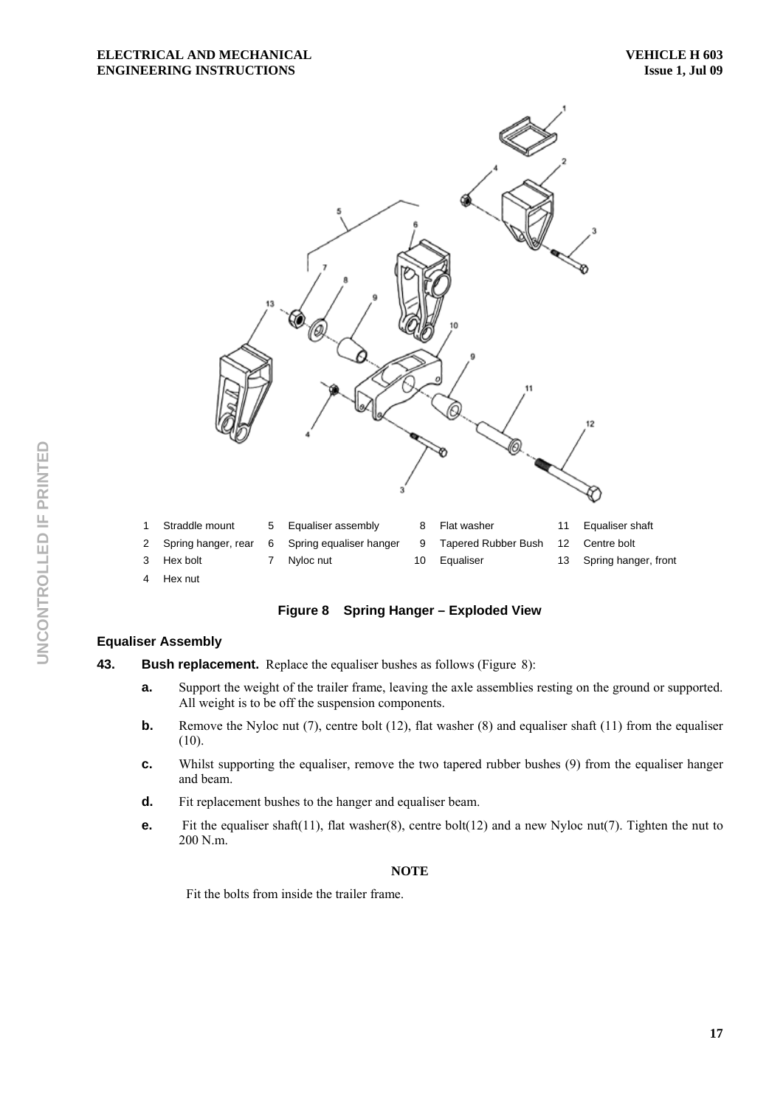

**Figure 8 Spring Hanger – Exploded View** 

# **Equaliser Assembly**

**43.** Bush replacement. Replace the equaliser bushes as follows (Figure 8):

- **a.** Support the weight of the trailer frame, leaving the axle assemblies resting on the ground or supported. All weight is to be off the suspension components.
- **b.** Remove the Nyloc nut (7), centre bolt (12), flat washer (8) and equaliser shaft (11) from the equaliser (10).
- **c.** Whilst supporting the equaliser, remove the two tapered rubber bushes (9) from the equaliser hanger and beam.
- **d.** Fit replacement bushes to the hanger and equaliser beam.
- **e.** Fit the equaliser shaft(11), flat washer(8), centre bolt(12) and a new Nyloc nut(7). Tighten the nut to 200 N.m.

#### **NOTE**

Fit the bolts from inside the trailer frame.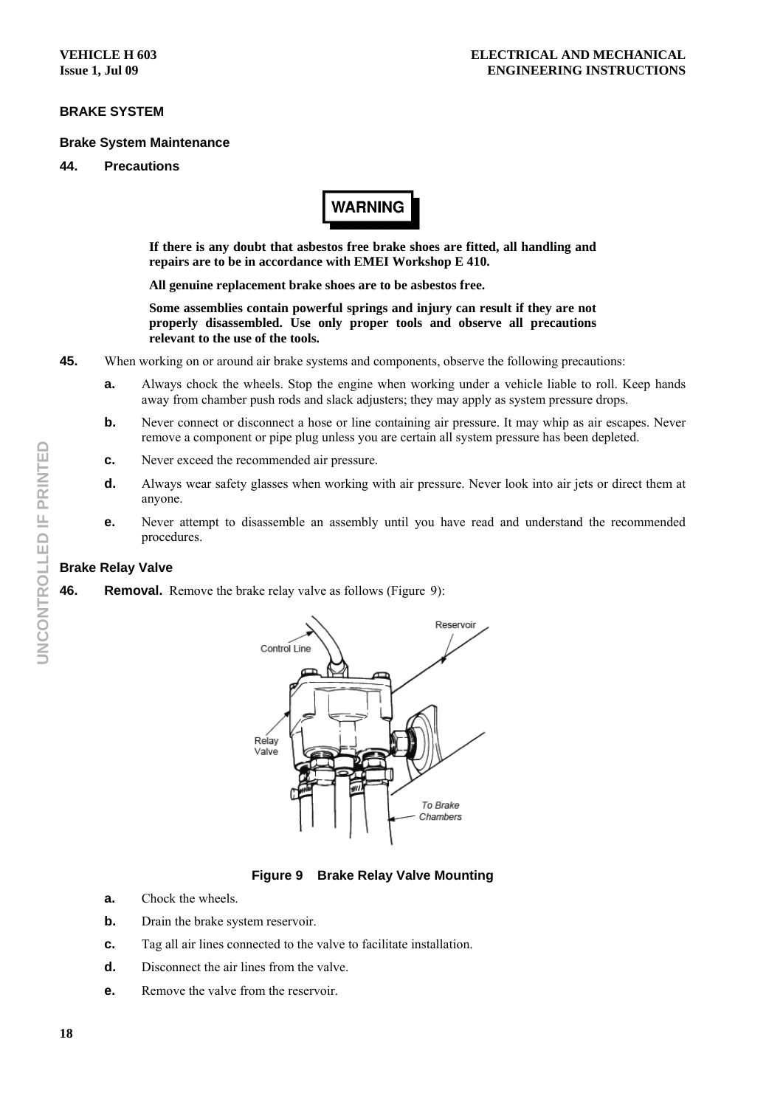# **BRAKE SYSTEM**

#### **Brake System Maintenance**

# **44. Precautions**



**If there is any doubt that asbestos free brake shoes are fitted, all handling and repairs are to be in accordance with EMEI Workshop E 410.** 

**All genuine replacement brake shoes are to be asbestos free.** 

**Some assemblies contain powerful springs and injury can result if they are not properly disassembled. Use only proper tools and observe all precautions relevant to the use of the tools.** 

**45.** When working on or around air brake systems and components, observe the following precautions:

- **a.** Always chock the wheels. Stop the engine when working under a vehicle liable to roll. Keep hands away from chamber push rods and slack adjusters; they may apply as system pressure drops.
- **b.** Never connect or disconnect a hose or line containing air pressure. It may whip as air escapes. Never remove a component or pipe plug unless you are certain all system pressure has been depleted.
- **c.** Never exceed the recommended air pressure.
- **d.** Always wear safety glasses when working with air pressure. Never look into air jets or direct them at anyone.
- **e.** Never attempt to disassemble an assembly until you have read and understand the recommended procedures.

#### **Brake Relay Valve**

**46.** Removal. Remove the brake relay valve as follows (Figure 9):



**Figure 9 Brake Relay Valve Mounting** 

- **a.** Chock the wheels.
- **b.** Drain the brake system reservoir.
- **c.** Tag all air lines connected to the valve to facilitate installation.
- **d.** Disconnect the air lines from the valve.
- **e.** Remove the valve from the reservoir.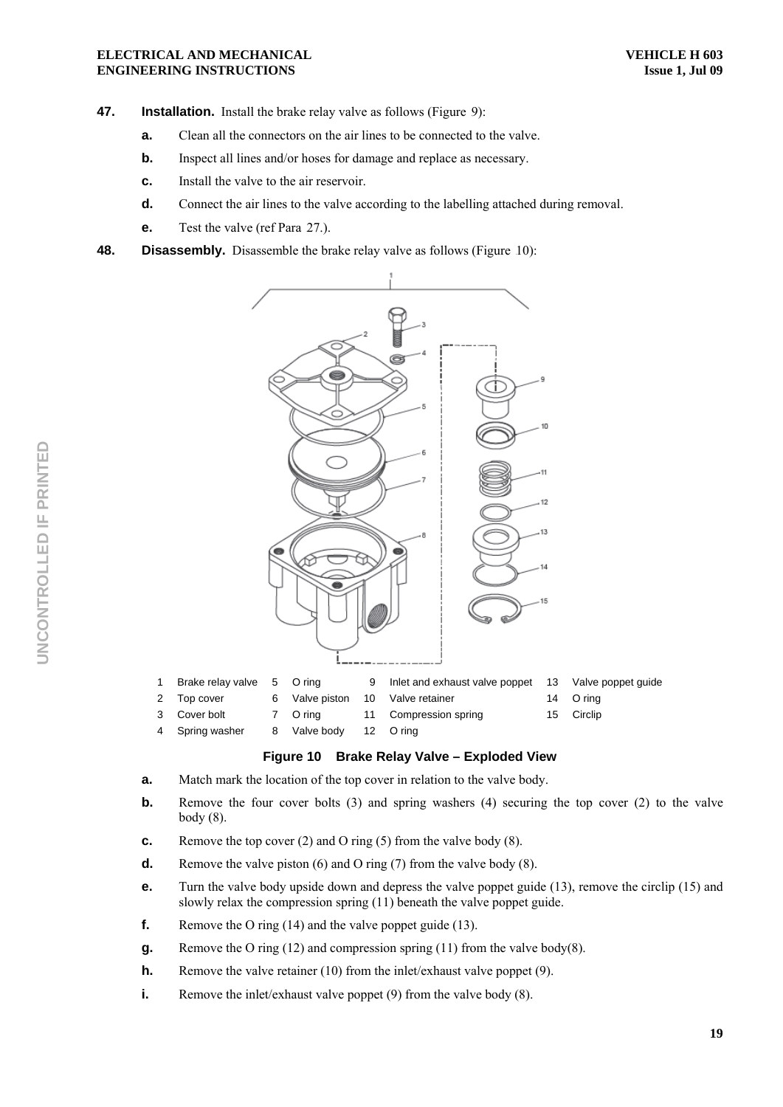- **47.** Installation. Install the brake relay valve as follows (Figure 9):
	- **a.** Clean all the connectors on the air lines to be connected to the valve.
	- **b.** Inspect all lines and/or hoses for damage and replace as necessary.
	- **c.** Install the valve to the air reservoir.
	- **d.** Connect the air lines to the valve according to the labelling attached during removal.
	- **e.** Test the valve (ref Para 27.).
- **48. Disassembly.** Disassemble the brake relay valve as follows (Figure 10):



| Brake relay valve 5 O ring |                        | 9 Inlet and exhaust valve poppet 13 Valve poppet quide |            |
|----------------------------|------------------------|--------------------------------------------------------|------------|
| 2 Top cover                |                        | 6 Valve piston 10 Valve retainer                       | 14 O ring  |
| 3 Cover bolt               |                        | 7 O ring 11 Compression spring                         | 15 Circlip |
| 4 Spring washer            | 8 Valve body 12 O ring |                                                        |            |

# **Figure 10 Brake Relay Valve – Exploded View**

- **a.** Match mark the location of the top cover in relation to the valve body.
- **b.** Remove the four cover bolts (3) and spring washers (4) securing the top cover (2) to the valve body (8).
- **c.** Remove the top cover (2) and O ring (5) from the valve body (8).
- **d.** Remove the valve piston (6) and O ring (7) from the valve body (8).
- **e.** Turn the valve body upside down and depress the valve poppet guide (13), remove the circlip (15) and slowly relax the compression spring (11) beneath the valve poppet guide.
- **f.** Remove the O ring (14) and the valve poppet guide (13).
- **g.** Remove the O ring (12) and compression spring (11) from the valve body(8).
- **h.** Remove the valve retainer (10) from the inlet/exhaust valve poppet (9).
- **i.** Remove the inlet/exhaust valve poppet (9) from the valve body (8).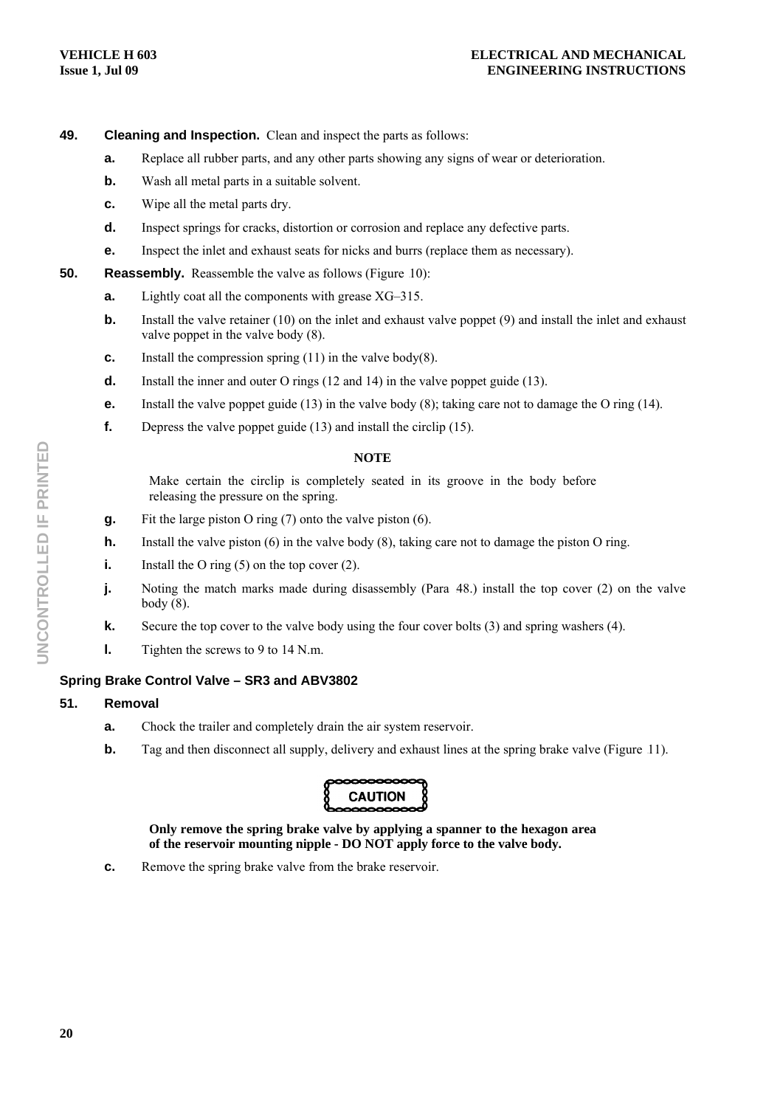# **49. Cleaning and Inspection.** Clean and inspect the parts as follows:

- **a.** Replace all rubber parts, and any other parts showing any signs of wear or deterioration.
- **b.** Wash all metal parts in a suitable solvent.
- **c.** Wipe all the metal parts dry.
- **d.** Inspect springs for cracks, distortion or corrosion and replace any defective parts.
- **e.** Inspect the inlet and exhaust seats for nicks and burrs (replace them as necessary).
- **50.** Reassembly. Reassemble the valve as follows (Figure 10):
	- **a.** Lightly coat all the components with grease XG–315.
	- **b.** Install the valve retainer (10) on the inlet and exhaust valve poppet (9) and install the inlet and exhaust valve poppet in the valve body (8).
	- **c.** Install the compression spring (11) in the valve body(8).
	- **d.** Install the inner and outer O rings (12 and 14) in the valve poppet guide (13).
	- **e.** Install the valve poppet guide (13) in the valve body (8); taking care not to damage the O ring (14).
	- **f.** Depress the valve poppet guide (13) and install the circlip (15).

#### **NOTE**

Make certain the circlip is completely seated in its groove in the body before releasing the pressure on the spring.

- **g.** Fit the large piston O ring (7) onto the valve piston (6).
- **h.** Install the valve piston (6) in the valve body (8), taking care not to damage the piston O ring.
- **i.** Install the O ring (5) on the top cover (2).
- **j.** Noting the match marks made during disassembly (Para 48.) install the top cover (2) on the valve body (8).
- **k.** Secure the top cover to the valve body using the four cover bolts (3) and spring washers (4).
- **l.** Tighten the screws to 9 to 14 N.m.

# **Spring Brake Control Valve – SR3 and ABV3802**

#### **51. Removal**

- **a.** Chock the trailer and completely drain the air system reservoir.
- **b.** Tag and then disconnect all supply, delivery and exhaust lines at the spring brake valve (Figure 11).



**Only remove the spring brake valve by applying a spanner to the hexagon area of the reservoir mounting nipple - DO NOT apply force to the valve body.** 

**c.** Remove the spring brake valve from the brake reservoir.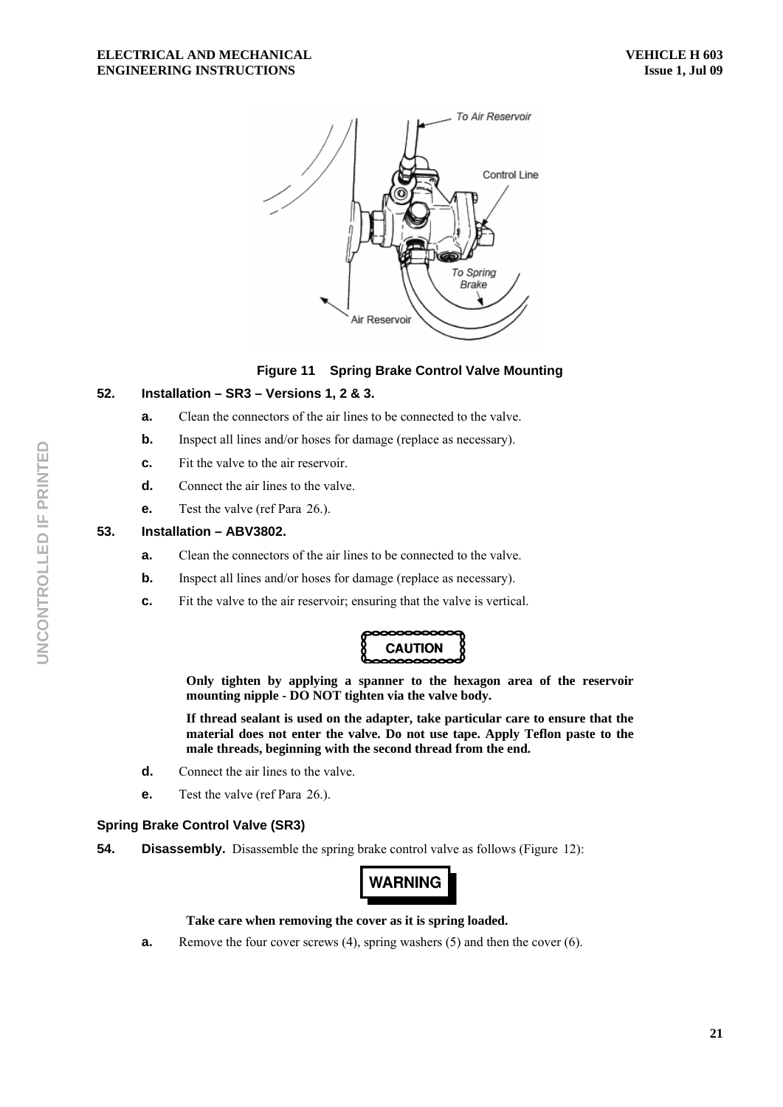

# **Figure 11 Spring Brake Control Valve Mounting**

# **52. Installation – SR3 – Versions 1, 2 & 3.**

- **a.** Clean the connectors of the air lines to be connected to the valve.
- **b.** Inspect all lines and/or hoses for damage (replace as necessary).
- **c.** Fit the valve to the air reservoir.
- **d.** Connect the air lines to the valve.
- **e.** Test the valve (ref Para 26.).

# **53. Installation – ABV3802.**

- **a.** Clean the connectors of the air lines to be connected to the valve.
- **b.** Inspect all lines and/or hoses for damage (replace as necessary).
- **c.** Fit the valve to the air reservoir; ensuring that the valve is vertical.



**Only tighten by applying a spanner to the hexagon area of the reservoir mounting nipple - DO NOT tighten via the valve body.** 

**If thread sealant is used on the adapter, take particular care to ensure that the material does not enter the valve. Do not use tape. Apply Teflon paste to the male threads, beginning with the second thread from the end.** 

- **d.** Connect the air lines to the valve.
- **e.** Test the valve (ref Para 26.).

#### **Spring Brake Control Valve (SR3)**

**54.** Disassembly. Disassemble the spring brake control valve as follows (Figure 12):

# **WARNING**

### **Take care when removing the cover as it is spring loaded.**

**a.** Remove the four cover screws (4), spring washers (5) and then the cover (6).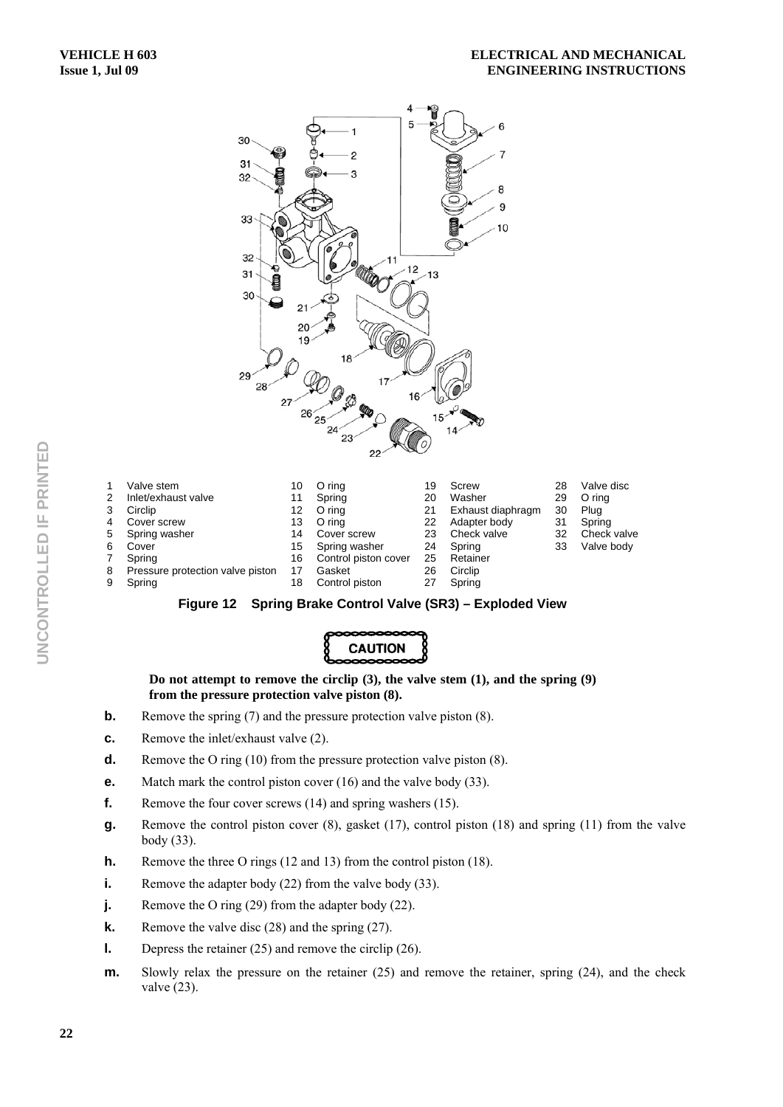

|   | Valve stem                       | 10 | O ring               | 19 | Screw             | 28 | Valve disc  |
|---|----------------------------------|----|----------------------|----|-------------------|----|-------------|
|   | Inlet/exhaust valve              |    | Spring               | 20 | Washer            | 29 | O ring      |
|   | Circlip                          | 12 | O ring               | 21 | Exhaust diaphragm | 30 | Plug        |
|   | Cover screw                      | 13 | O ring               | 22 | Adapter body      | 31 | Spring      |
| 5 | Spring washer                    | 14 | Cover screw          | 23 | Check valve       | 32 | Check valve |
| 6 | Cover                            | 15 | Spring washer        | 24 | Spring            | 33 | Valve body  |
|   | Spring                           | 16 | Control piston cover | 25 | Retainer          |    |             |
| 8 | Pressure protection valve piston |    | Gasket               | 26 | Circlip           |    |             |
|   | Spring                           | 18 | Control piston       | 27 | Spring            |    |             |





**Do not attempt to remove the circlip (3), the valve stem (1), and the spring (9) from the pressure protection valve piston (8).** 

- **b.** Remove the spring (7) and the pressure protection valve piston (8).
- **c.** Remove the inlet/exhaust valve (2).
- **d.** Remove the O ring (10) from the pressure protection valve piston (8).
- **e.** Match mark the control piston cover (16) and the valve body (33).
- **f.** Remove the four cover screws (14) and spring washers (15).
- **g.** Remove the control piston cover (8), gasket (17), control piston (18) and spring (11) from the valve body (33).
- **h.** Remove the three O rings (12 and 13) from the control piston (18).
- **i.** Remove the adapter body (22) from the valve body (33).
- **j.** Remove the O ring (29) from the adapter body (22).
- **k.** Remove the valve disc (28) and the spring (27).
- **l.** Depress the retainer (25) and remove the circlip (26).
- **m.** Slowly relax the pressure on the retainer (25) and remove the retainer, spring (24), and the check valve (23).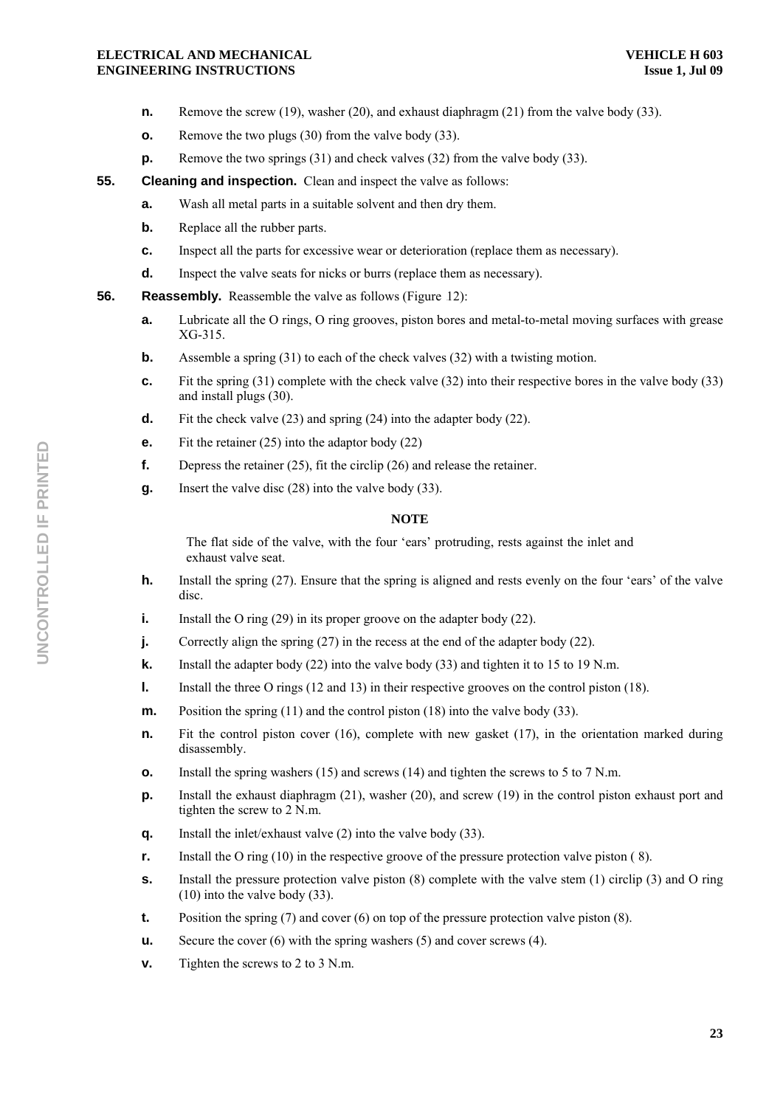- **n.** Remove the screw (19), washer (20), and exhaust diaphragm (21) from the valve body (33).
- **o.** Remove the two plugs (30) from the valve body (33).
- **p.** Remove the two springs (31) and check valves (32) from the valve body (33).
- **55. Cleaning and inspection.** Clean and inspect the valve as follows:
	- **a.** Wash all metal parts in a suitable solvent and then dry them.
	- **b.** Replace all the rubber parts.
	- **c.** Inspect all the parts for excessive wear or deterioration (replace them as necessary).
	- **d.** Inspect the valve seats for nicks or burrs (replace them as necessary).
- **56.** Reassembly. Reassemble the valve as follows (Figure 12):
	- **a.** Lubricate all the O rings, O ring grooves, piston bores and metal-to-metal moving surfaces with grease XG-315.
	- **b.** Assemble a spring (31) to each of the check valves (32) with a twisting motion.
	- **c.** Fit the spring (31) complete with the check valve (32) into their respective bores in the valve body (33) and install plugs (30).
	- **d.** Fit the check valve (23) and spring (24) into the adapter body (22).
	- **e.** Fit the retainer (25) into the adaptor body (22)
	- **f.** Depress the retainer (25), fit the circlip (26) and release the retainer.
	- **g.** Insert the valve disc (28) into the valve body (33).

#### **NOTE**

The flat side of the valve, with the four 'ears' protruding, rests against the inlet and exhaust valve seat.

- **h.** Install the spring (27). Ensure that the spring is aligned and rests evenly on the four 'ears' of the valve disc.
- **i.** Install the O ring (29) in its proper groove on the adapter body (22).
- **j.** Correctly align the spring (27) in the recess at the end of the adapter body (22).
- **k.** Install the adapter body (22) into the valve body (33) and tighten it to 15 to 19 N.m.
- **l.** Install the three O rings (12 and 13) in their respective grooves on the control piston (18).
- **m.** Position the spring (11) and the control piston (18) into the valve body (33).
- **n.** Fit the control piston cover (16), complete with new gasket (17), in the orientation marked during disassembly.
- **o.** Install the spring washers (15) and screws (14) and tighten the screws to 5 to 7 N.m.
- **p.** Install the exhaust diaphragm (21), washer (20), and screw (19) in the control piston exhaust port and tighten the screw to 2 N.m.
- **q.** Install the inlet/exhaust valve (2) into the valve body (33).
- **r.** Install the O ring (10) in the respective groove of the pressure protection valve piston (8).
- **s.** Install the pressure protection valve piston (8) complete with the valve stem (1) circlip (3) and O ring (10) into the valve body (33).
- **t.** Position the spring (7) and cover (6) on top of the pressure protection valve piston (8).
- **u.** Secure the cover (6) with the spring washers (5) and cover screws (4).
- **v.** Tighten the screws to 2 to 3 N.m.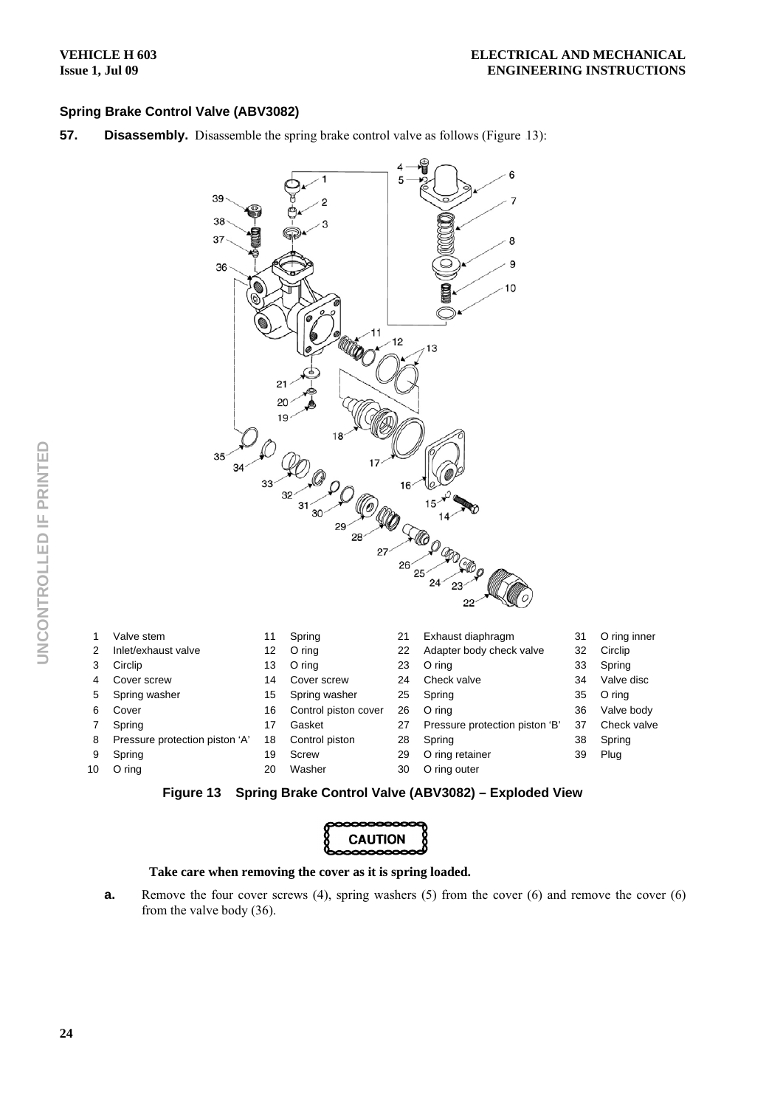# **Spring Brake Control Valve (ABV3082)**

**57.** Disassembly. Disassemble the spring brake control valve as follows (Figure 13):



| Valve stem                     | 11 | Spring               | 21 | Exhaust diaphragm              | 31 | O ring inner |
|--------------------------------|----|----------------------|----|--------------------------------|----|--------------|
| Inlet/exhaust valve            | 12 | O ring               | 22 | Adapter body check valve       | 32 | Circlip      |
| Circlip                        | 13 | O ring               | 23 | O ring                         | 33 | Spring       |
| Cover screw                    | 14 | Cover screw          | 24 | Check valve                    | 34 | Valve disc   |
| Spring washer                  | 15 | Spring washer        | 25 | Spring                         | 35 | O ring       |
| Cover                          | 16 | Control piston cover | 26 | O ring                         | 36 | Valve body   |
| Spring                         | 17 | Gasket               | 27 | Pressure protection piston 'B' | 37 | Check valve  |
| Pressure protection piston 'A' | 18 | Control piston       | 28 | Spring                         | 38 | Spring       |
| Spring                         | 19 | Screw                | 29 | O ring retainer                | 39 | Plug         |
| O ring                         | 20 | Washer               | 30 | O ring outer                   |    |              |
|                                |    |                      |    |                                |    |              |



| pooooooooooo<br>{ CAUTION<br>booooooooooooo |  |
|---------------------------------------------|--|
|                                             |  |
|                                             |  |
|                                             |  |
|                                             |  |

## **Take care when removing the cover as it is spring loaded.**

**a.** Remove the four cover screws (4), spring washers (5) from the cover (6) and remove the cover (6) from the valve body (36).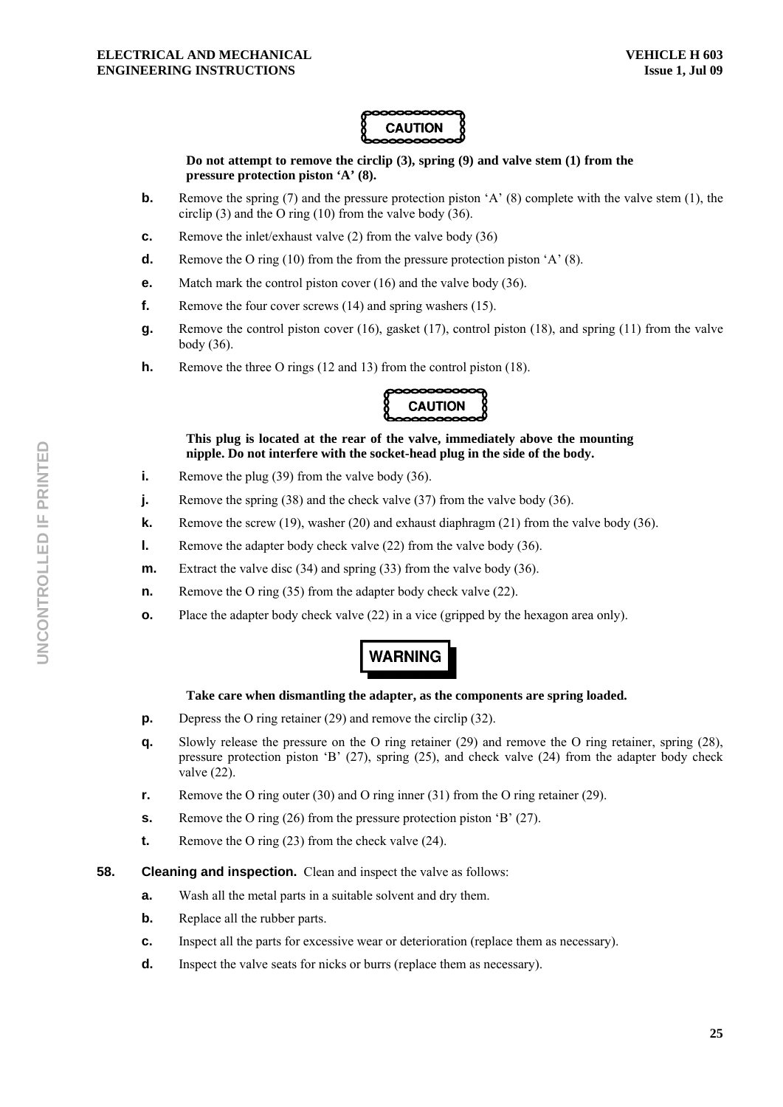

**Do not attempt to remove the circlip (3), spring (9) and valve stem (1) from the pressure protection piston 'A' (8).** 

- **b.** Remove the spring (7) and the pressure protection piston 'A' (8) complete with the valve stem (1), the circlip (3) and the O ring (10) from the valve body (36).
- **c.** Remove the inlet/exhaust valve (2) from the valve body (36)
- **d.** Remove the O ring (10) from the from the pressure protection piston 'A' (8).
- **e.** Match mark the control piston cover (16) and the valve body (36).
- **f.** Remove the four cover screws (14) and spring washers (15).
- **g.** Remove the control piston cover (16), gasket (17), control piston (18), and spring (11) from the valve body (36).
- **h.** Remove the three O rings (12 and 13) from the control piston (18).



**This plug is located at the rear of the valve, immediately above the mounting nipple. Do not interfere with the socket-head plug in the side of the body.** 

- **i.** Remove the plug (39) from the valve body (36).
- **j.** Remove the spring (38) and the check valve (37) from the valve body (36).
- **k.** Remove the screw (19), washer (20) and exhaust diaphragm (21) from the valve body (36).
- **l.** Remove the adapter body check valve (22) from the valve body (36).
- **m.** Extract the valve disc (34) and spring (33) from the valve body (36).
- **n.** Remove the O ring (35) from the adapter body check valve (22).
- **o.** Place the adapter body check valve (22) in a vice (gripped by the hexagon area only).

# **WARNING**

# **Take care when dismantling the adapter, as the components are spring loaded.**

- **p.** Depress the O ring retainer (29) and remove the circlip (32).
- **q.** Slowly release the pressure on the O ring retainer (29) and remove the O ring retainer, spring (28), pressure protection piston 'B' (27), spring (25), and check valve (24) from the adapter body check valve (22).
- **r.** Remove the O ring outer (30) and O ring inner (31) from the O ring retainer (29).
- **s.** Remove the O ring (26) from the pressure protection piston 'B' (27).
- **t.** Remove the O ring (23) from the check valve (24).
- **58.** Cleaning and inspection. Clean and inspect the valve as follows:
	- **a.** Wash all the metal parts in a suitable solvent and dry them.
	- **b.** Replace all the rubber parts.
	- **c.** Inspect all the parts for excessive wear or deterioration (replace them as necessary).
	- **d.** Inspect the valve seats for nicks or burrs (replace them as necessary).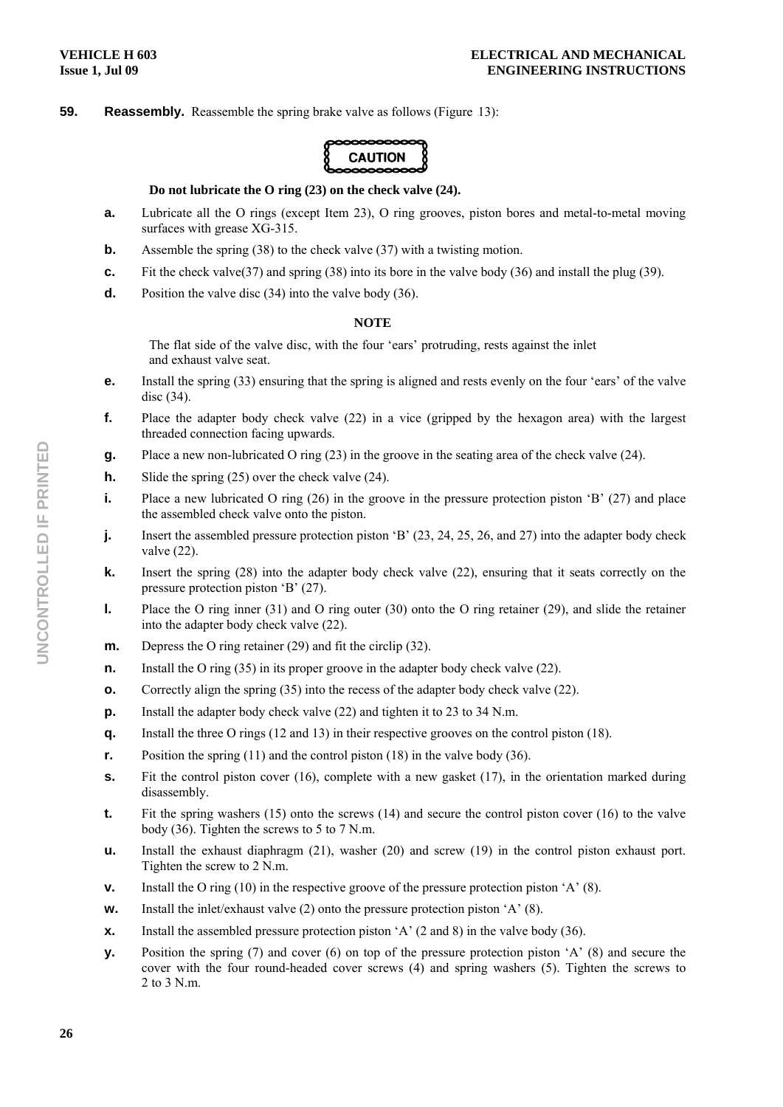# **59.** Reassembly. Reassemble the spring brake valve as follows (Figure 13):

**CAUTION** 

#### **Do not lubricate the O ring (23) on the check valve (24).**

- **a.** Lubricate all the O rings (except Item 23), O ring grooves, piston bores and metal-to-metal moving surfaces with grease XG-315.
- **b.** Assemble the spring (38) to the check valve (37) with a twisting motion.
- **c.** Fit the check valve(37) and spring (38) into its bore in the valve body (36) and install the plug (39).
- **d.** Position the valve disc (34) into the valve body (36).

#### **NOTE**

The flat side of the valve disc, with the four 'ears' protruding, rests against the inlet and exhaust valve seat.

- **e.** Install the spring (33) ensuring that the spring is aligned and rests evenly on the four 'ears' of the valve disc (34).
- **f.** Place the adapter body check valve (22) in a vice (gripped by the hexagon area) with the largest threaded connection facing upwards.
- **g.** Place a new non-lubricated O ring (23) in the groove in the seating area of the check valve (24).
- **h.** Slide the spring (25) over the check valve (24).
- **i.** Place a new lubricated O ring (26) in the groove in the pressure protection piston 'B' (27) and place the assembled check valve onto the piston.
- **j.** Insert the assembled pressure protection piston 'B' (23, 24, 25, 26, and 27) into the adapter body check valve (22).
- **k.** Insert the spring (28) into the adapter body check valve (22), ensuring that it seats correctly on the pressure protection piston 'B' (27).
- **l.** Place the O ring inner (31) and O ring outer (30) onto the O ring retainer (29), and slide the retainer into the adapter body check valve (22).
- **m.** Depress the O ring retainer (29) and fit the circlip (32).
- **n.** Install the O ring (35) in its proper groove in the adapter body check valve (22).
- **o.** Correctly align the spring (35) into the recess of the adapter body check valve (22).
- **p.** Install the adapter body check valve (22) and tighten it to 23 to 34 N.m.
- **q.** Install the three O rings (12 and 13) in their respective grooves on the control piston (18).
- **r.** Position the spring (11) and the control piston (18) in the valve body (36).
- **s.** Fit the control piston cover (16), complete with a new gasket (17), in the orientation marked during disassembly.
- **t.** Fit the spring washers (15) onto the screws (14) and secure the control piston cover (16) to the valve body (36). Tighten the screws to 5 to 7 N.m.
- **u.** Install the exhaust diaphragm (21), washer (20) and screw (19) in the control piston exhaust port. Tighten the screw to 2 N.m.
- **v.** Install the O ring (10) in the respective groove of the pressure protection piston 'A' (8).
- **w.** Install the inlet/exhaust valve (2) onto the pressure protection piston 'A' (8).
- **x.** Install the assembled pressure protection piston 'A' (2 and 8) in the valve body (36).
- **y.** Position the spring (7) and cover (6) on top of the pressure protection piston 'A' (8) and secure the cover with the four round-headed cover screws (4) and spring washers (5). Tighten the screws to 2 to 3 N.m.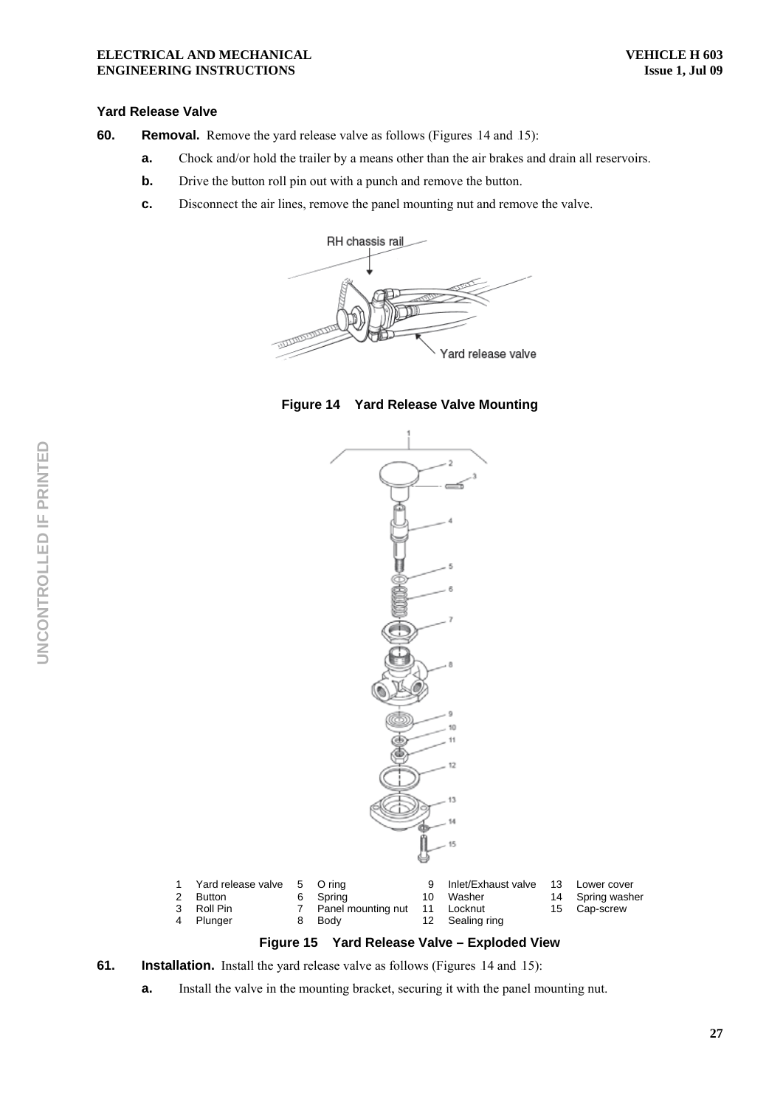#### **Yard Release Valve**

- **60.** Removal. Remove the yard release valve as follows (Figures 14 and 15):
	- **a.** Chock and/or hold the trailer by a means other than the air brakes and drain all reservoirs.
	- **b.** Drive the button roll pin out with a punch and remove the button.
	- **c.** Disconnect the air lines, remove the panel mounting nut and remove the valve.







### **Figure 15 Yard Release Valve – Exploded View**

- **61.** Installation. Install the yard release valve as follows (Figures 14 and 15):
	- **a.** Install the valve in the mounting bracket, securing it with the panel mounting nut.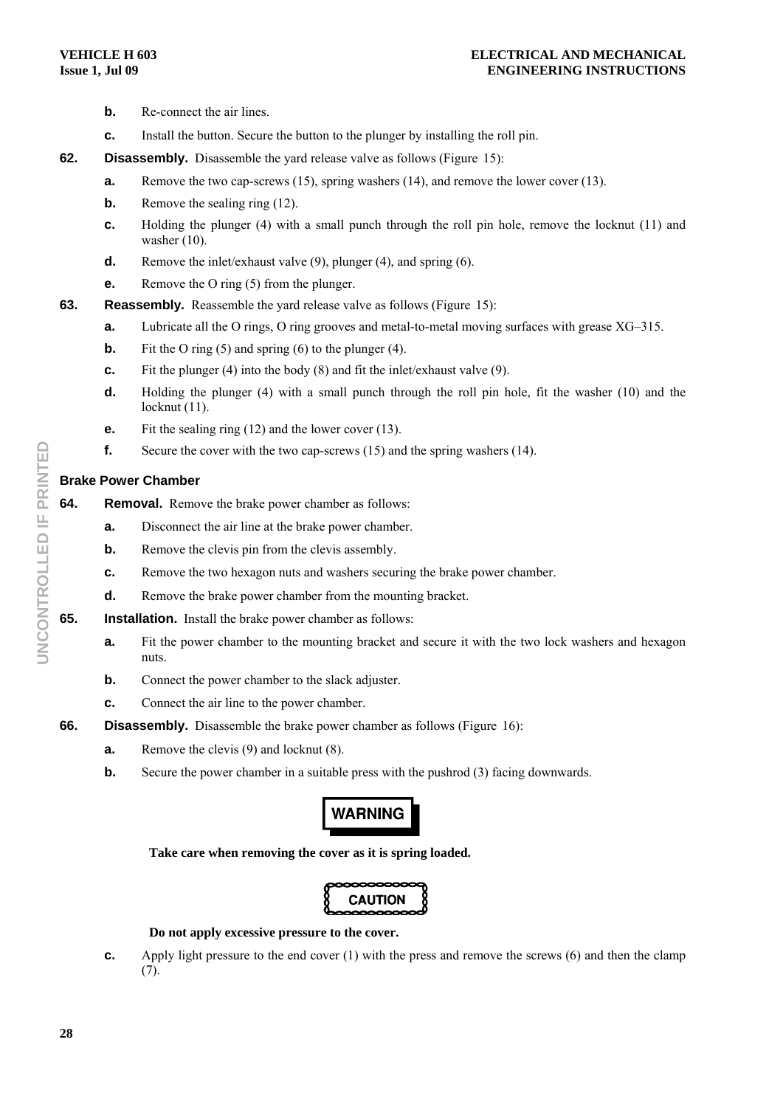- **b.** Re-connect the air lines.
- **c.** Install the button. Secure the button to the plunger by installing the roll pin.
- **62. Disassembly.** Disassemble the yard release valve as follows (Figure 15):
	- **a.** Remove the two cap-screws (15), spring washers (14), and remove the lower cover (13).
	- **b.** Remove the sealing ring (12).
	- **c.** Holding the plunger (4) with a small punch through the roll pin hole, remove the locknut (11) and washer  $(10)$ .
	- **d.** Remove the inlet/exhaust valve (9), plunger (4), and spring (6).
	- **e.** Remove the O ring (5) from the plunger.
- **63.** Reassembly. Reassemble the yard release valve as follows (Figure 15):
	- **a.** Lubricate all the O rings, O ring grooves and metal-to-metal moving surfaces with grease XG–315.
	- **b.** Fit the O ring (5) and spring (6) to the plunger (4).
	- **c.** Fit the plunger (4) into the body (8) and fit the inlet/exhaust valve (9).
	- **d.** Holding the plunger (4) with a small punch through the roll pin hole, fit the washer (10) and the locknut  $(11)$ .
	- **e.** Fit the sealing ring (12) and the lower cover (13).
	- **f.** Secure the cover with the two cap-screws (15) and the spring washers (14).

# **Brake Power Chamber**

- **64.** Removal. Remove the brake power chamber as follows:
	- **a.** Disconnect the air line at the brake power chamber.
	- **b.** Remove the clevis pin from the clevis assembly.
	- **c.** Remove the two hexagon nuts and washers securing the brake power chamber.
	- **d.** Remove the brake power chamber from the mounting bracket.
- **65. Installation.** Install the brake power chamber as follows:
	- **a.** Fit the power chamber to the mounting bracket and secure it with the two lock washers and hexagon nuts.
	- **b.** Connect the power chamber to the slack adjuster.
	- **c.** Connect the air line to the power chamber.
- **66.** Disassembly. Disassemble the brake power chamber as follows (Figure 16):
	- **a.** Remove the clevis (9) and locknut (8).
	- **b.** Secure the power chamber in a suitable press with the pushrod (3) facing downwards.

# **WARNING**

**Take care when removing the cover as it is spring loaded.** 

# **Do not apply excessive pressure to the cover.**

**c.** Apply light pressure to the end cover (1) with the press and remove the screws (6) and then the clamp (7).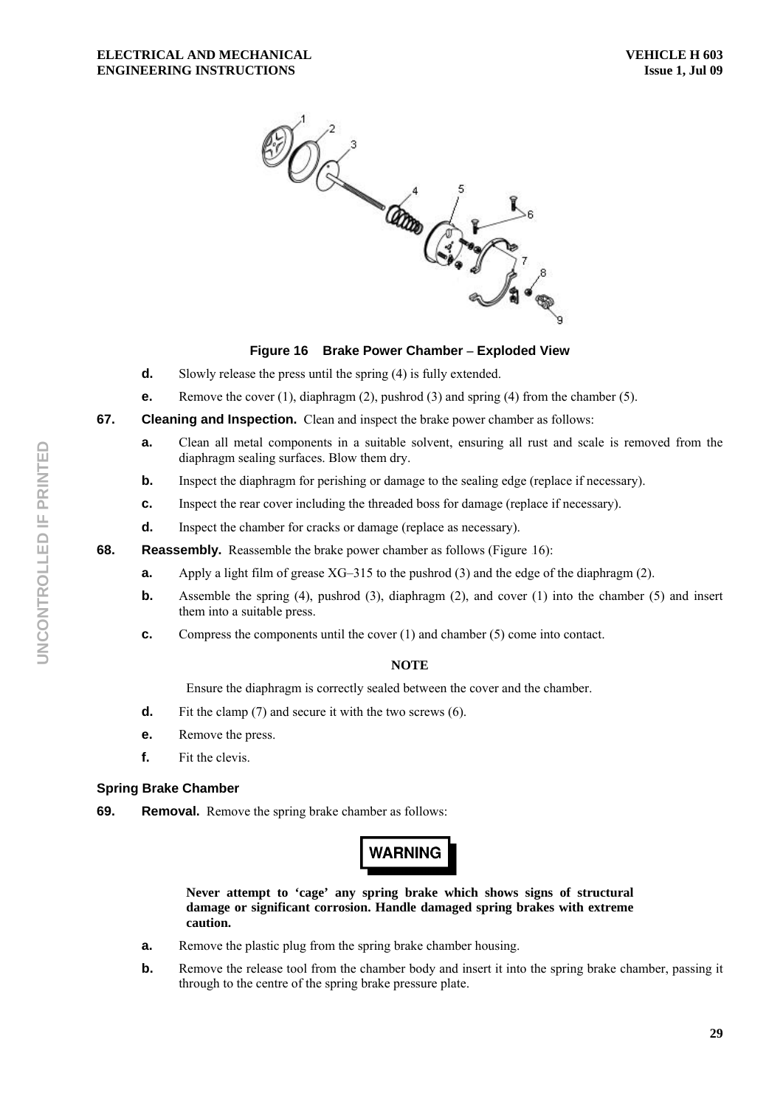

# **Figure 16 Brake Power Chamber – Exploded View**

- **d.** Slowly release the press until the spring (4) is fully extended.
- **e.** Remove the cover (1), diaphragm (2), pushrod (3) and spring (4) from the chamber (5).
- **67. Cleaning and Inspection.** Clean and inspect the brake power chamber as follows:
	- **a.** Clean all metal components in a suitable solvent, ensuring all rust and scale is removed from the diaphragm sealing surfaces. Blow them dry.
	- **b.** Inspect the diaphragm for perishing or damage to the sealing edge (replace if necessary).
	- **c.** Inspect the rear cover including the threaded boss for damage (replace if necessary).
	- **d.** Inspect the chamber for cracks or damage (replace as necessary).
- **68.** Reassembly. Reassemble the brake power chamber as follows (Figure 16):
	- **a.** Apply a light film of grease XG–315 to the pushrod (3) and the edge of the diaphragm (2).
	- **b.** Assemble the spring (4), pushrod (3), diaphragm (2), and cover (1) into the chamber (5) and insert them into a suitable press.
	- **c.** Compress the components until the cover (1) and chamber (5) come into contact.

# **NOTE**

Ensure the diaphragm is correctly sealed between the cover and the chamber.

- **d.** Fit the clamp (7) and secure it with the two screws (6).
- **e.** Remove the press.
- **f.** Fit the clevis.

# **Spring Brake Chamber**

**69.** Removal. Remove the spring brake chamber as follows:

# **WARNING**

**Never attempt to 'cage' any spring brake which shows signs of structural damage or significant corrosion. Handle damaged spring brakes with extreme caution.** 

- **a.** Remove the plastic plug from the spring brake chamber housing.
- **b.** Remove the release tool from the chamber body and insert it into the spring brake chamber, passing it through to the centre of the spring brake pressure plate.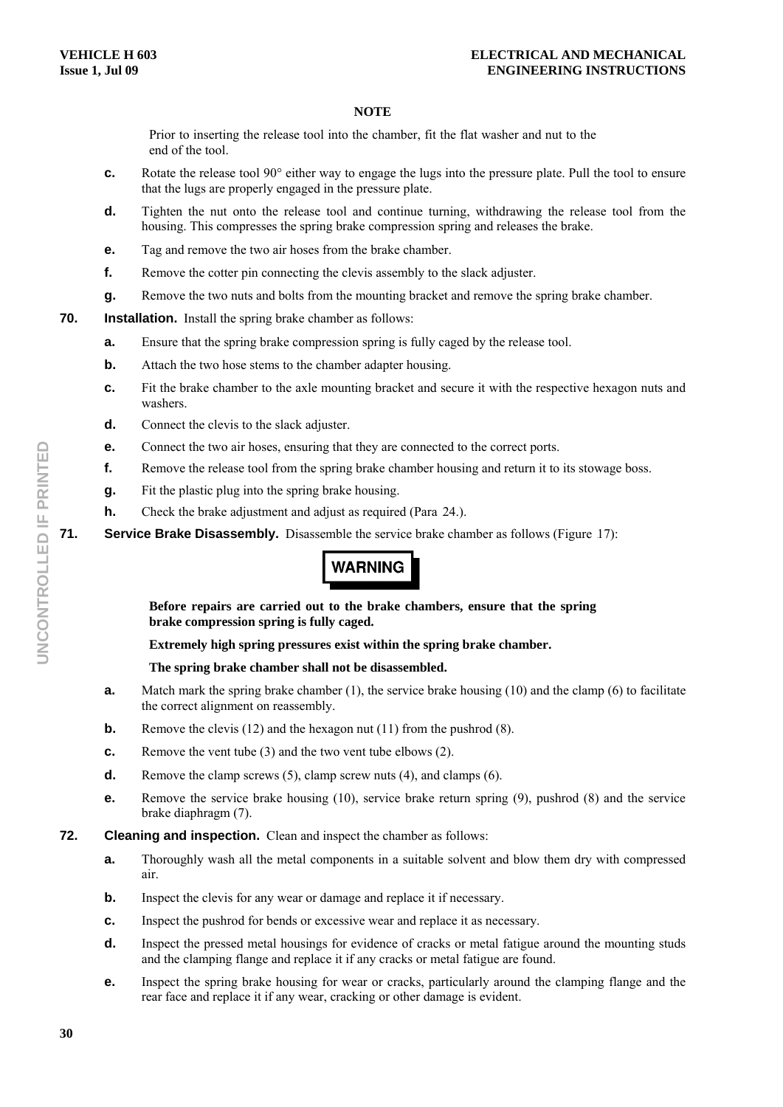Prior to inserting the release tool into the chamber, fit the flat washer and nut to the end of the tool.

- **c.** Rotate the release tool 90° either way to engage the lugs into the pressure plate. Pull the tool to ensure that the lugs are properly engaged in the pressure plate.
- **d.** Tighten the nut onto the release tool and continue turning, withdrawing the release tool from the housing. This compresses the spring brake compression spring and releases the brake.
- **e.** Tag and remove the two air hoses from the brake chamber.
- **f.** Remove the cotter pin connecting the clevis assembly to the slack adjuster.
- **g.** Remove the two nuts and bolts from the mounting bracket and remove the spring brake chamber.
- **70.** Installation. Install the spring brake chamber as follows:
	- **a.** Ensure that the spring brake compression spring is fully caged by the release tool.
	- **b.** Attach the two hose stems to the chamber adapter housing.
	- **c.** Fit the brake chamber to the axle mounting bracket and secure it with the respective hexagon nuts and washers.
	- **d.** Connect the clevis to the slack adjuster.
	- **e.** Connect the two air hoses, ensuring that they are connected to the correct ports.
	- **f.** Remove the release tool from the spring brake chamber housing and return it to its stowage boss.
	- **g.** Fit the plastic plug into the spring brake housing.
	- **h.** Check the brake adjustment and adjust as required (Para 24.).

**71.** Service Brake Disassembly. Disassemble the service brake chamber as follows (Figure 17):

# **WARNING**

**Before repairs are carried out to the brake chambers, ensure that the spring brake compression spring is fully caged.** 

**Extremely high spring pressures exist within the spring brake chamber.** 

**The spring brake chamber shall not be disassembled.** 

- **a.** Match mark the spring brake chamber (1), the service brake housing (10) and the clamp (6) to facilitate the correct alignment on reassembly.
- **b.** Remove the clevis (12) and the hexagon nut (11) from the pushrod (8).
- **c.** Remove the vent tube (3) and the two vent tube elbows (2).
- **d.** Remove the clamp screws (5), clamp screw nuts (4), and clamps (6).
- **e.** Remove the service brake housing (10), service brake return spring (9), pushrod (8) and the service brake diaphragm (7).
- **72. Cleaning and inspection.** Clean and inspect the chamber as follows:
	- **a.** Thoroughly wash all the metal components in a suitable solvent and blow them dry with compressed air.
	- **b.** Inspect the clevis for any wear or damage and replace it if necessary.
	- **c.** Inspect the pushrod for bends or excessive wear and replace it as necessary.
	- **d.** Inspect the pressed metal housings for evidence of cracks or metal fatigue around the mounting studs and the clamping flange and replace it if any cracks or metal fatigue are found.
	- **e.** Inspect the spring brake housing for wear or cracks, particularly around the clamping flange and the rear face and replace it if any wear, cracking or other damage is evident.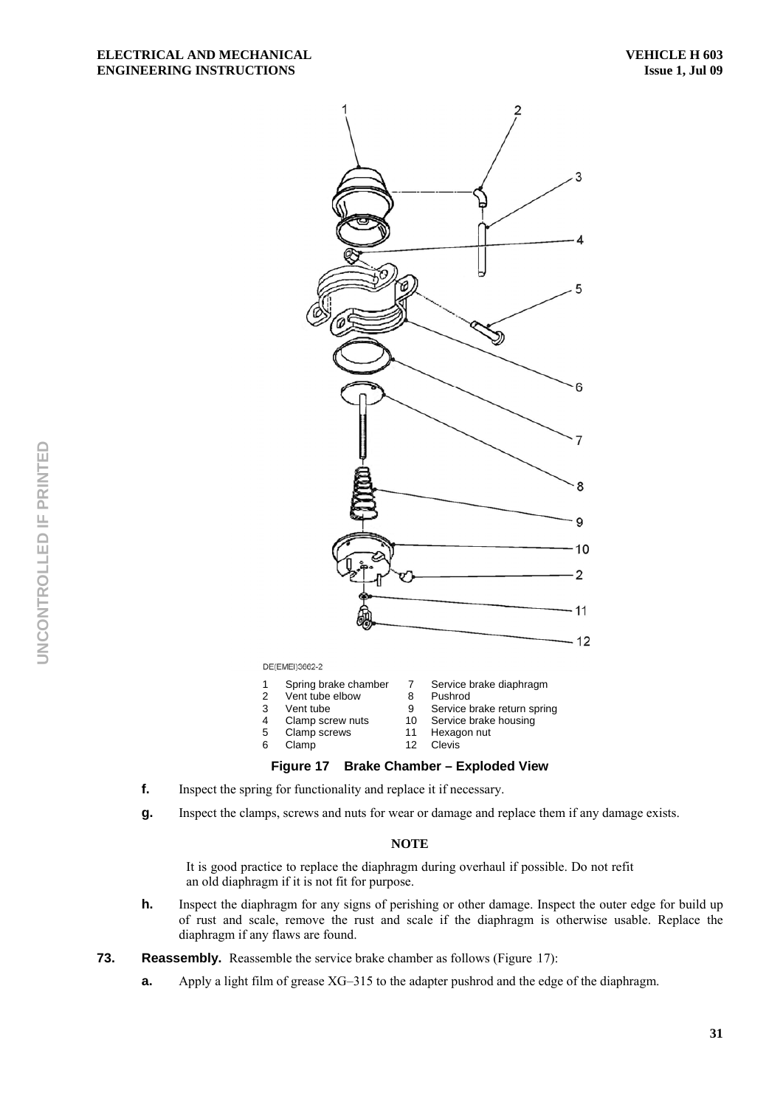

DE(EMEI)3662-2

- 
- 2 Vent tube elbow 8 Pushrod<br>3 Vent tube 9 Service b 3 Vent tube 9 Service brake return spring<br>4 Clamp screw nuts 10 Service brake housing
- 4 Clamp screw nuts 10 Service brake housing

Clamp

- 
- 5 Clamp screws 11 Hexagon nut<br>6 Clamp 12 Clevis
	-

#### **Figure 17 Brake Chamber – Exploded View**

- **f.** Inspect the spring for functionality and replace it if necessary.
- **g.** Inspect the clamps, screws and nuts for wear or damage and replace them if any damage exists.

#### **NOTE**

It is good practice to replace the diaphragm during overhaul if possible. Do not refit an old diaphragm if it is not fit for purpose.

- **h.** Inspect the diaphragm for any signs of perishing or other damage. Inspect the outer edge for build up of rust and scale, remove the rust and scale if the diaphragm is otherwise usable. Replace the diaphragm if any flaws are found.
- **73.** Reassembly. Reassemble the service brake chamber as follows (Figure 17):
	- **a.** Apply a light film of grease XG–315 to the adapter pushrod and the edge of the diaphragm.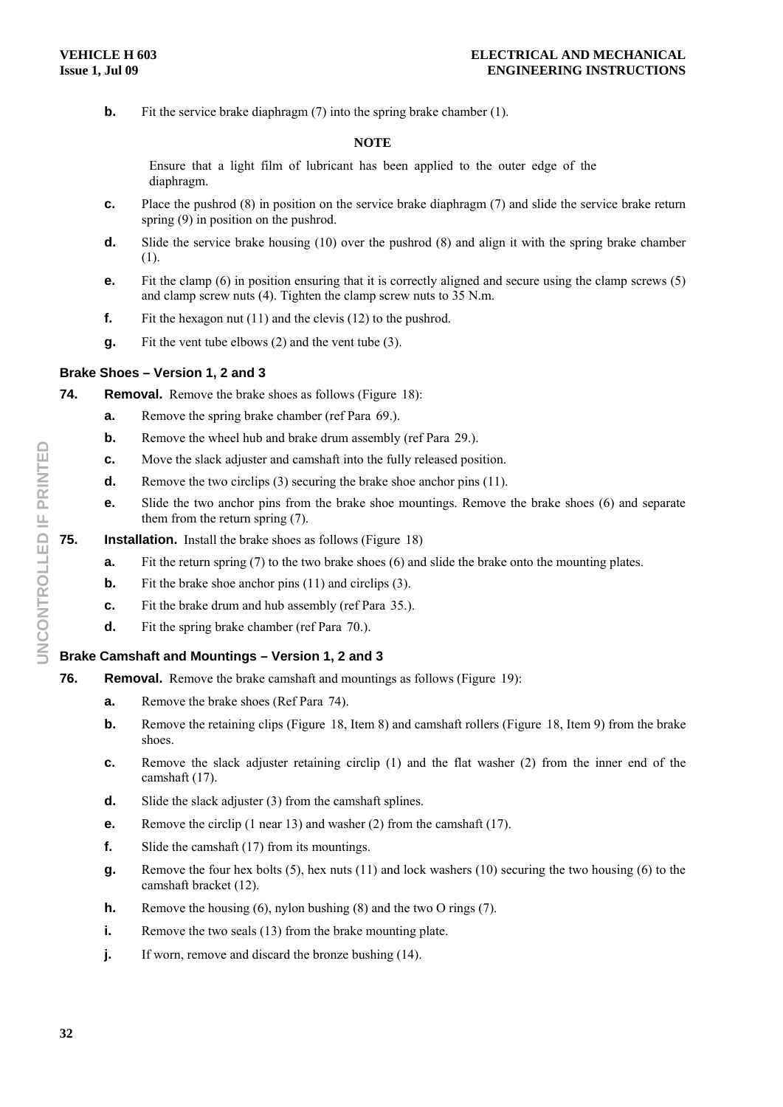**b.** Fit the service brake diaphragm (7) into the spring brake chamber (1).

#### **NOTE**

Ensure that a light film of lubricant has been applied to the outer edge of the diaphragm.

- **c.** Place the pushrod (8) in position on the service brake diaphragm (7) and slide the service brake return spring (9) in position on the pushrod.
- **d.** Slide the service brake housing (10) over the pushrod (8) and align it with the spring brake chamber (1).
- **e.** Fit the clamp (6) in position ensuring that it is correctly aligned and secure using the clamp screws (5) and clamp screw nuts (4). Tighten the clamp screw nuts to 35 N.m.
- **f.** Fit the hexagon nut (11) and the clevis (12) to the pushrod.
- **g.** Fit the vent tube elbows (2) and the vent tube (3).

### **Brake Shoes – Version 1, 2 and 3**

- **74.** Removal. Remove the brake shoes as follows (Figure 18):
	- **a.** Remove the spring brake chamber (ref Para 69.).
	- **b.** Remove the wheel hub and brake drum assembly (ref Para 29.).
	- **c.** Move the slack adjuster and camshaft into the fully released position.
	- **d.** Remove the two circlips (3) securing the brake shoe anchor pins (11).
	- **e.** Slide the two anchor pins from the brake shoe mountings. Remove the brake shoes (6) and separate them from the return spring (7).
- **75.** Installation. Install the brake shoes as follows (Figure 18)
	- **a.** Fit the return spring (7) to the two brake shoes (6) and slide the brake onto the mounting plates.
	- **b.** Fit the brake shoe anchor pins (11) and circlips (3).
	- **c.** Fit the brake drum and hub assembly (ref Para 35.).
	- **d.** Fit the spring brake chamber (ref Para 70.).

# **Brake Camshaft and Mountings – Version 1, 2 and 3**

- **76. Removal.** Remove the brake camshaft and mountings as follows (Figure 19):
	- **a.** Remove the brake shoes (Ref Para 74).
	- **b.** Remove the retaining clips (Figure 18, Item 8) and camshaft rollers (Figure 18, Item 9) from the brake shoes.
	- **c.** Remove the slack adjuster retaining circlip (1) and the flat washer (2) from the inner end of the camshaft (17).
	- **d.** Slide the slack adjuster (3) from the camshaft splines.
	- **e.** Remove the circlip (1 near 13) and washer (2) from the camshaft (17).
	- **f.** Slide the camshaft (17) from its mountings.
	- **g.** Remove the four hex bolts (5), hex nuts (11) and lock washers (10) securing the two housing (6) to the camshaft bracket (12).
	- **h.** Remove the housing (6), nylon bushing (8) and the two O rings (7).
	- **i.** Remove the two seals (13) from the brake mounting plate.
	- **j.** If worn, remove and discard the bronze bushing (14).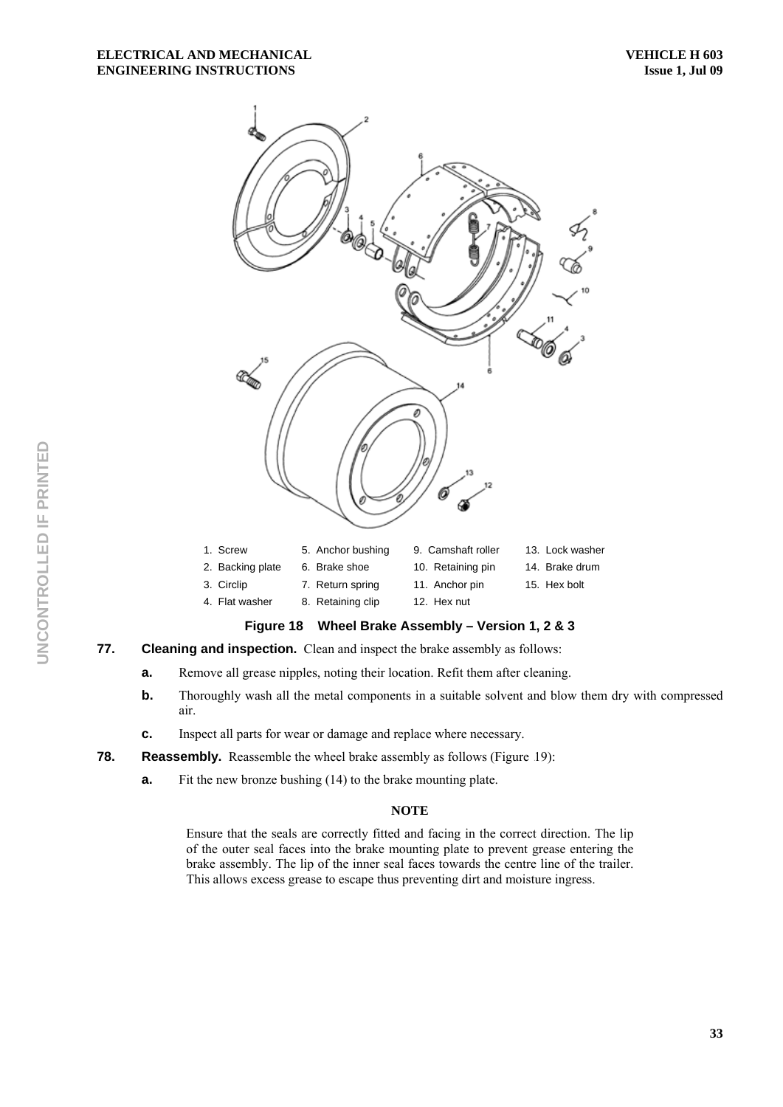

# **Figure 18 Wheel Brake Assembly – Version 1, 2 & 3**

# **77. Cleaning and inspection.** Clean and inspect the brake assembly as follows:

- **a.** Remove all grease nipples, noting their location. Refit them after cleaning.
- **b.** Thoroughly wash all the metal components in a suitable solvent and blow them dry with compressed air.
- **c.** Inspect all parts for wear or damage and replace where necessary.
- **78.** Reassembly. Reassemble the wheel brake assembly as follows (Figure 19):
	- **a.** Fit the new bronze bushing (14) to the brake mounting plate.

# **NOTE**

Ensure that the seals are correctly fitted and facing in the correct direction. The lip of the outer seal faces into the brake mounting plate to prevent grease entering the brake assembly. The lip of the inner seal faces towards the centre line of the trailer. This allows excess grease to escape thus preventing dirt and moisture ingress.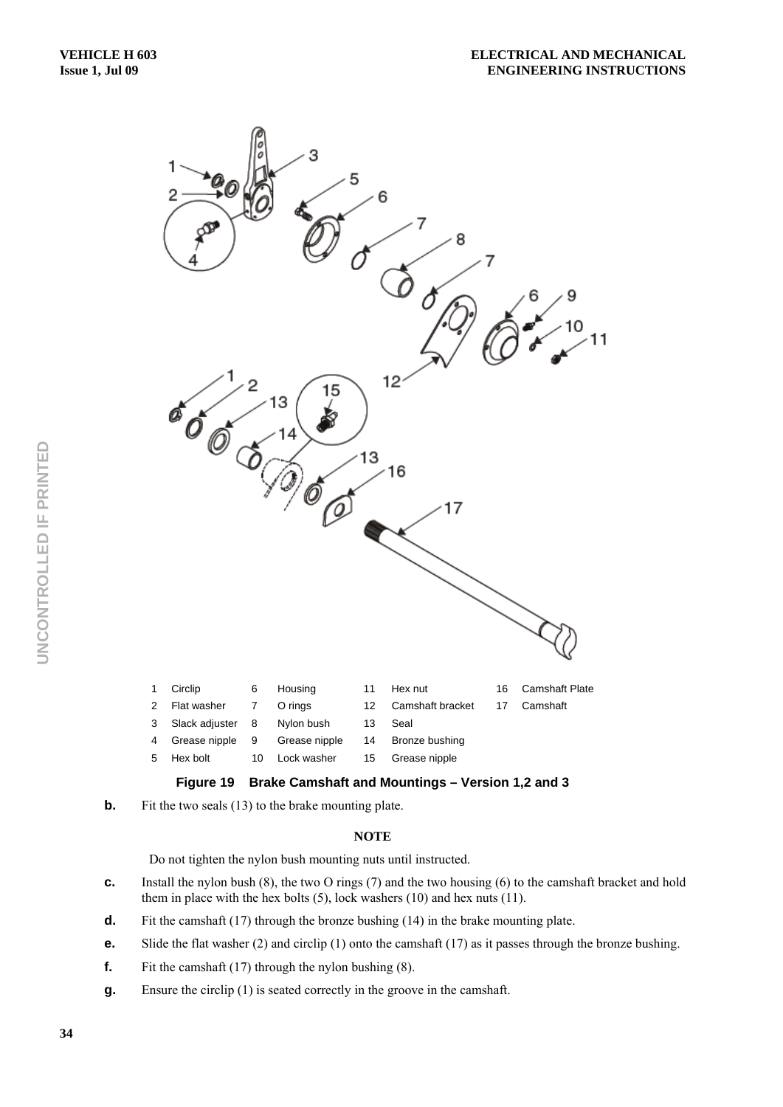



**b.** Fit the two seals (13) to the brake mounting plate.

### **NOTE**

Do not tighten the nylon bush mounting nuts until instructed.

- **c.** Install the nylon bush (8), the two O rings (7) and the two housing (6) to the camshaft bracket and hold them in place with the hex bolts (5), lock washers (10) and hex nuts (11).
- **d.** Fit the camshaft (17) through the bronze bushing (14) in the brake mounting plate.
- **e.** Slide the flat washer (2) and circlip (1) onto the camshaft (17) as it passes through the bronze bushing.
- **f.** Fit the camshaft (17) through the nylon bushing (8).
- **g.** Ensure the circlip (1) is seated correctly in the groove in the camshaft.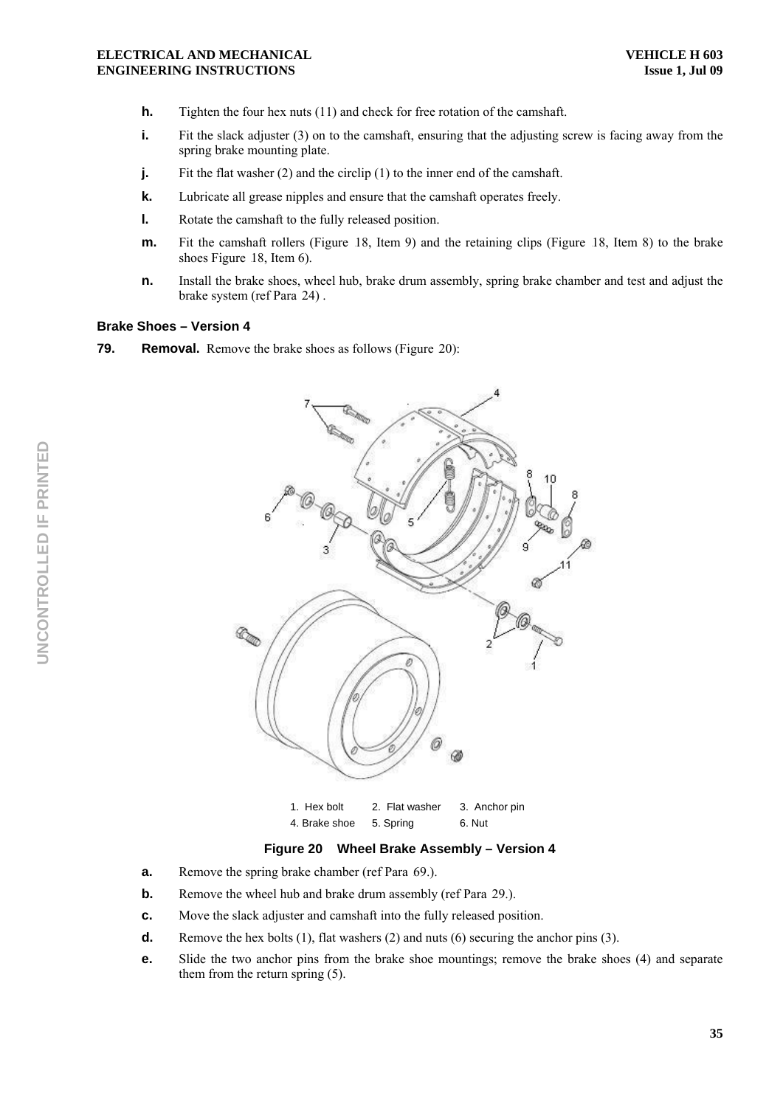- **h.** Tighten the four hex nuts (11) and check for free rotation of the camshaft.
- **i.** Fit the slack adjuster (3) on to the camshaft, ensuring that the adjusting screw is facing away from the spring brake mounting plate.
- **j.** Fit the flat washer (2) and the circlip (1) to the inner end of the camshaft.
- **k.** Lubricate all grease nipples and ensure that the camshaft operates freely.
- **l.** Rotate the camshaft to the fully released position.
- **m.** Fit the camshaft rollers (Figure 18, Item 9) and the retaining clips (Figure 18, Item 8) to the brake shoes Figure 18, Item  $6$ ).
- **n.** Install the brake shoes, wheel hub, brake drum assembly, spring brake chamber and test and adjust the brake system (ref Para 24).

#### **Brake Shoes – Version 4**

**79.** Removal. Remove the brake shoes as follows (Figure 20):



4. Brake shoe 5. Spring 6. Nut

#### **Figure 20 Wheel Brake Assembly – Version 4**

- **a.** Remove the spring brake chamber (ref Para 69.).
- **b.** Remove the wheel hub and brake drum assembly (ref Para 29.).
- **c.** Move the slack adjuster and camshaft into the fully released position.
- **d.** Remove the hex bolts (1), flat washers (2) and nuts (6) securing the anchor pins (3).
- **e.** Slide the two anchor pins from the brake shoe mountings; remove the brake shoes (4) and separate them from the return spring (5).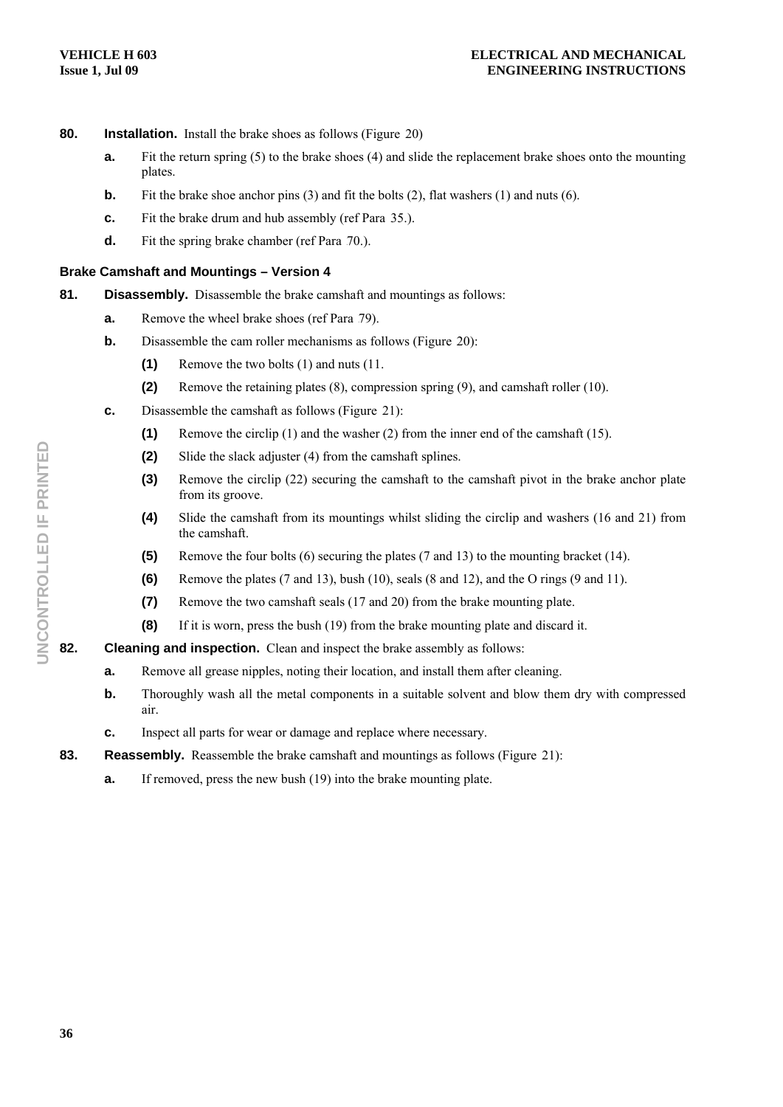- **80.** Installation. Install the brake shoes as follows (Figure 20)
	- **a.** Fit the return spring (5) to the brake shoes (4) and slide the replacement brake shoes onto the mounting plates.
	- **b.** Fit the brake shoe anchor pins (3) and fit the bolts (2), flat washers (1) and nuts (6).
	- **c.** Fit the brake drum and hub assembly (ref Para 35.).
	- **d.** Fit the spring brake chamber (ref Para 70.).

### **Brake Camshaft and Mountings – Version 4**

- **81. Disassembly.** Disassemble the brake camshaft and mountings as follows:
	- **a.** Remove the wheel brake shoes (ref Para 79).
	- **b.** Disassemble the cam roller mechanisms as follows (Figure 20):
		- **(1)** Remove the two bolts (1) and nuts (11.
		- **(2)** Remove the retaining plates (8), compression spring (9), and camshaft roller (10).
	- **c.** Disassemble the camshaft as follows (Figure 21):
		- **(1)** Remove the circlip (1) and the washer (2) from the inner end of the camshaft (15).
		- **(2)** Slide the slack adjuster (4) from the camshaft splines.
		- **(3)** Remove the circlip (22) securing the camshaft to the camshaft pivot in the brake anchor plate from its groove.
		- **(4)** Slide the camshaft from its mountings whilst sliding the circlip and washers (16 and 21) from the camshaft.
		- **(5)** Remove the four bolts (6) securing the plates (7 and 13) to the mounting bracket (14).
		- **(6)** Remove the plates (7 and 13), bush (10), seals (8 and 12), and the O rings (9 and 11).
		- **(7)** Remove the two camshaft seals (17 and 20) from the brake mounting plate.
		- **(8)** If it is worn, press the bush (19) from the brake mounting plate and discard it.
- **82.** Cleaning and inspection. Clean and inspect the brake assembly as follows:
	- **a.** Remove all grease nipples, noting their location, and install them after cleaning.
	- **b.** Thoroughly wash all the metal components in a suitable solvent and blow them dry with compressed air.
	- **c.** Inspect all parts for wear or damage and replace where necessary.
- **83.** Reassembly. Reassemble the brake camshaft and mountings as follows (Figure 21):
	- **a.** If removed, press the new bush (19) into the brake mounting plate.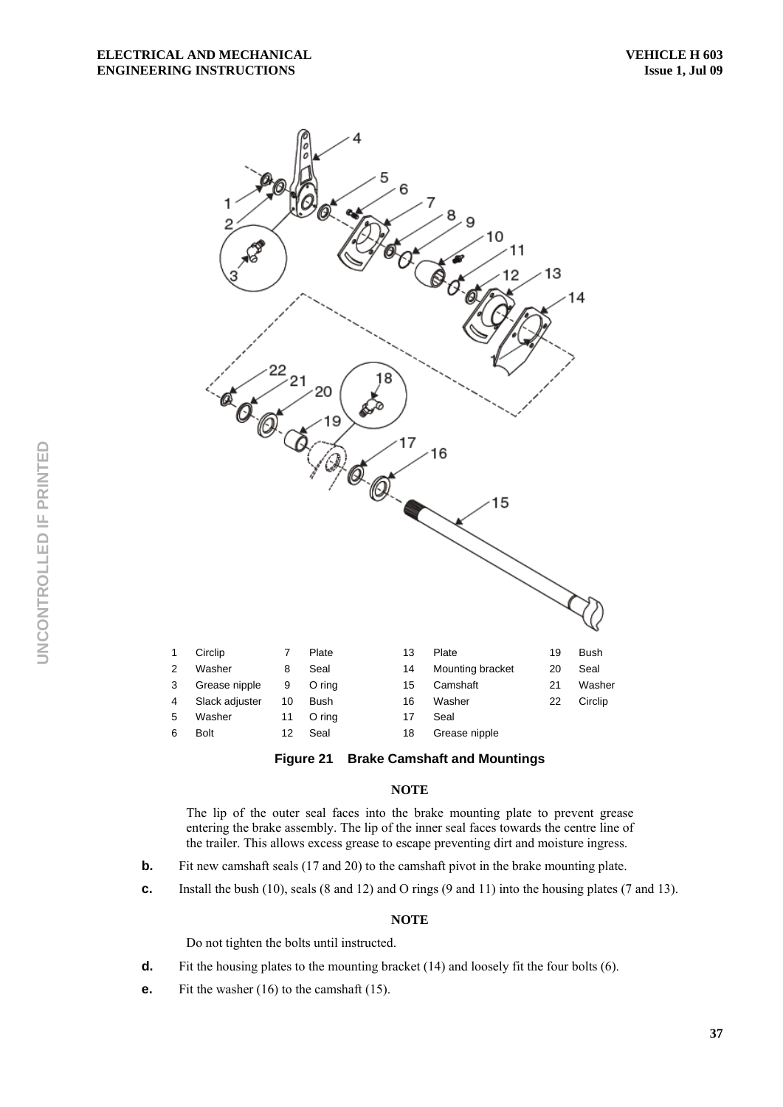



The lip of the outer seal faces into the brake mounting plate to prevent grease entering the brake assembly. The lip of the inner seal faces towards the centre line of the trailer. This allows excess grease to escape preventing dirt and moisture ingress.

- **b.** Fit new camshaft seals (17 and 20) to the camshaft pivot in the brake mounting plate.
- **c.** Install the bush (10), seals (8 and 12) and O rings (9 and 11) into the housing plates (7 and 13).

#### **NOTE**

Do not tighten the bolts until instructed.

- **d.** Fit the housing plates to the mounting bracket (14) and loosely fit the four bolts (6).
- **e.** Fit the washer (16) to the camshaft (15).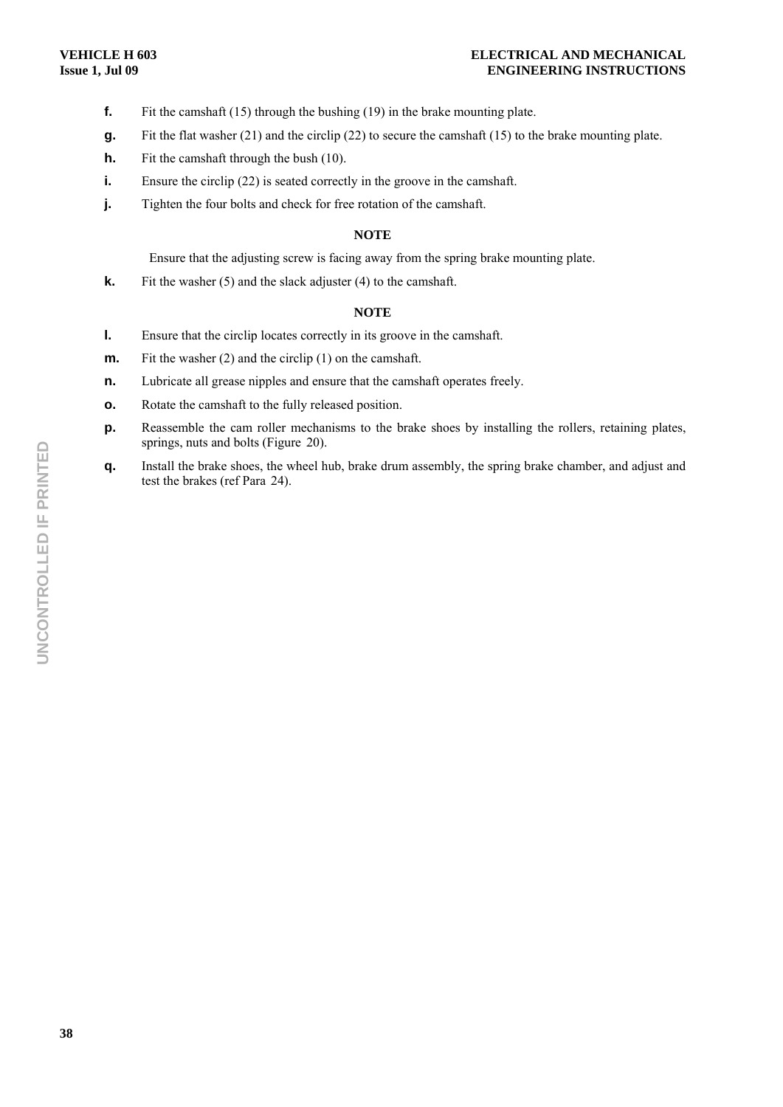- **f.** Fit the camshaft (15) through the bushing (19) in the brake mounting plate.
- **g.** Fit the flat washer (21) and the circlip (22) to secure the camshaft (15) to the brake mounting plate.
- **h.** Fit the camshaft through the bush (10).
- **i.** Ensure the circlip (22) is seated correctly in the groove in the camshaft.
- **j. Tighten the four bolts and check for free rotation of the camshaft.**

#### **NOTE**

Ensure that the adjusting screw is facing away from the spring brake mounting plate.

**k.** Fit the washer (5) and the slack adjuster (4) to the camshaft.

#### **NOTE**

- **l.** Ensure that the circlip locates correctly in its groove in the camshaft.
- **m.** Fit the washer (2) and the circlip (1) on the camshaft.
- **n.** Lubricate all grease nipples and ensure that the camshaft operates freely.
- **o.** Rotate the camshaft to the fully released position.
- **p.** Reassemble the cam roller mechanisms to the brake shoes by installing the rollers, retaining plates, springs, nuts and bolts (Figure 20).
- **q.** Install the brake shoes, the wheel hub, brake drum assembly, the spring brake chamber, and adjust and test the brakes (ref Para 24).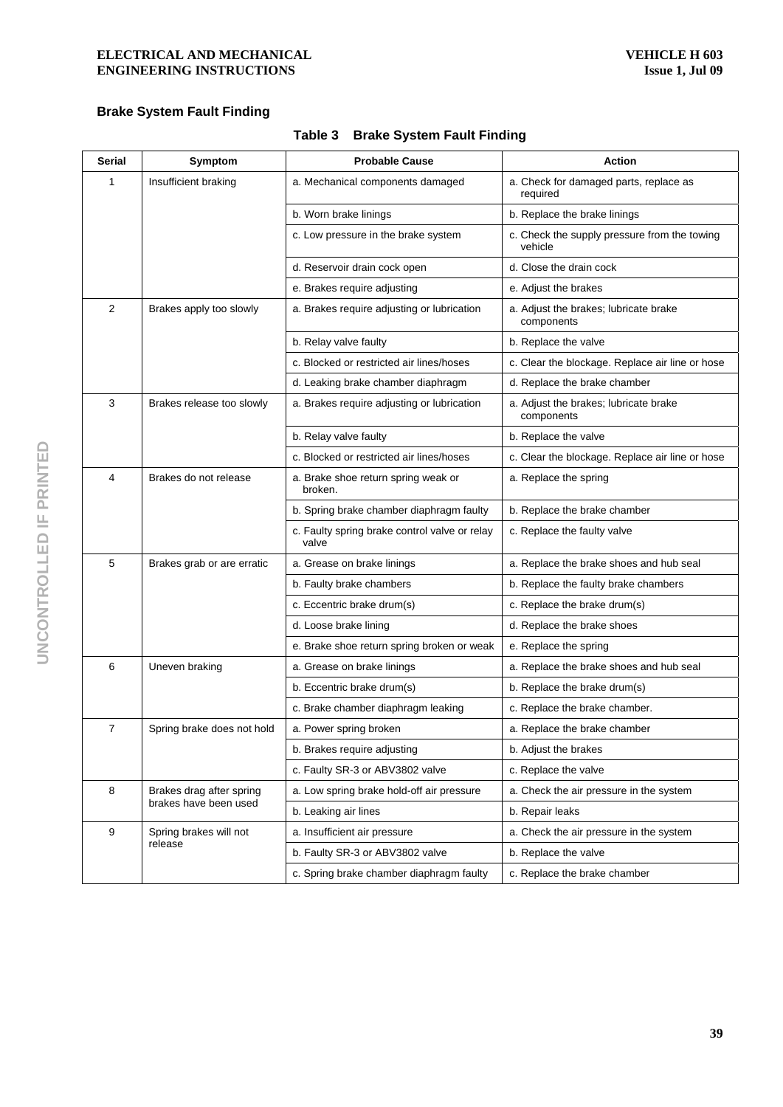# **Brake System Fault Finding**

| <b>Serial</b>              | Symptom                                           | <b>Probable Cause</b>                                  | <b>Action</b>                                           |
|----------------------------|---------------------------------------------------|--------------------------------------------------------|---------------------------------------------------------|
| 1                          | Insufficient braking                              | a. Mechanical components damaged                       | a. Check for damaged parts, replace as<br>required      |
|                            |                                                   | b. Worn brake linings                                  | b. Replace the brake linings                            |
|                            |                                                   | c. Low pressure in the brake system                    | c. Check the supply pressure from the towing<br>vehicle |
|                            |                                                   | d. Reservoir drain cock open                           | d. Close the drain cock                                 |
|                            |                                                   | e. Brakes require adjusting                            | e. Adjust the brakes                                    |
| $\overline{2}$             | Brakes apply too slowly                           | a. Brakes require adjusting or lubrication             | a. Adjust the brakes; lubricate brake<br>components     |
|                            |                                                   | b. Relay valve faulty                                  | b. Replace the valve                                    |
|                            |                                                   | c. Blocked or restricted air lines/hoses               | c. Clear the blockage. Replace air line or hose         |
|                            |                                                   | d. Leaking brake chamber diaphragm                     | d. Replace the brake chamber                            |
| 3                          | Brakes release too slowly                         | a. Brakes require adjusting or lubrication             | a. Adjust the brakes; lubricate brake<br>components     |
|                            |                                                   | b. Relay valve faulty                                  | b. Replace the valve                                    |
|                            |                                                   | c. Blocked or restricted air lines/hoses               | c. Clear the blockage. Replace air line or hose         |
| 4<br>Brakes do not release |                                                   | a. Brake shoe return spring weak or<br>broken.         | a. Replace the spring                                   |
|                            |                                                   | b. Spring brake chamber diaphragm faulty               | b. Replace the brake chamber                            |
|                            |                                                   | c. Faulty spring brake control valve or relay<br>valve | c. Replace the faulty valve                             |
| 5                          | Brakes grab or are erratic                        | a. Grease on brake linings                             | a. Replace the brake shoes and hub seal                 |
|                            |                                                   | b. Faulty brake chambers                               | b. Replace the faulty brake chambers                    |
|                            |                                                   | c. Eccentric brake drum(s)                             | c. Replace the brake drum(s)                            |
|                            |                                                   | d. Loose brake lining                                  | d. Replace the brake shoes                              |
|                            |                                                   | e. Brake shoe return spring broken or weak             | e. Replace the spring                                   |
| 6                          | Uneven braking                                    | a. Grease on brake linings                             | a. Replace the brake shoes and hub seal                 |
|                            |                                                   | b. Eccentric brake drum(s)                             | b. Replace the brake drum(s)                            |
|                            |                                                   | c. Brake chamber diaphragm leaking                     | c. Replace the brake chamber.                           |
| 7                          | Spring brake does not hold                        | a. Power spring broken                                 | a. Replace the brake chamber                            |
|                            |                                                   | b. Brakes require adjusting                            | b. Adjust the brakes                                    |
|                            |                                                   | c. Faulty SR-3 or ABV3802 valve                        | c. Replace the valve                                    |
| 8                          | Brakes drag after spring<br>brakes have been used | a. Low spring brake hold-off air pressure              | a. Check the air pressure in the system                 |
|                            |                                                   | b. Leaking air lines                                   | b. Repair leaks                                         |
| 9                          | Spring brakes will not<br>release                 | a. Insufficient air pressure                           | a. Check the air pressure in the system                 |
|                            |                                                   | b. Faulty SR-3 or ABV3802 valve                        | b. Replace the valve                                    |
|                            |                                                   | c. Spring brake chamber diaphragm faulty               | c. Replace the brake chamber                            |

# **Table 3 Brake System Fault Finding**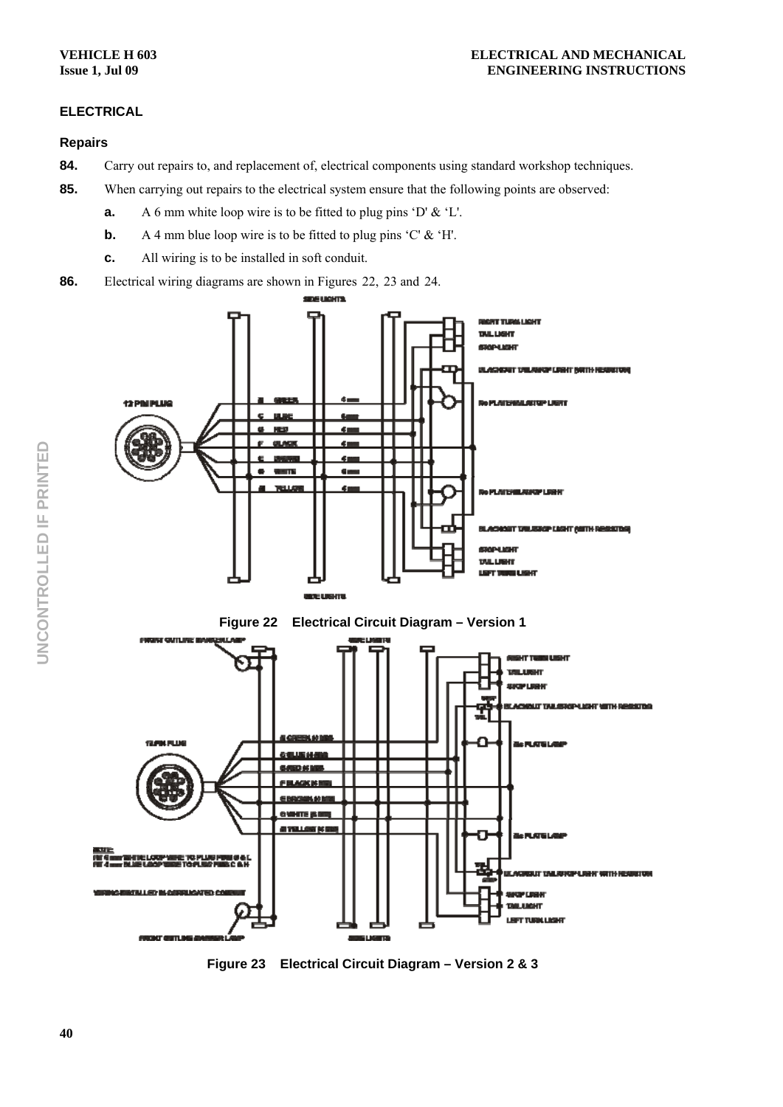# **ELECTRICAL**

# **Repairs**

- 84. Carry out repairs to, and replacement of, electrical components using standard workshop techniques.
- **85.** When carrying out repairs to the electrical system ensure that the following points are observed:
	- **a.** A 6 mm white loop wire is to be fitted to plug pins 'D' & 'L'.
	- **b.** A 4 mm blue loop wire is to be fitted to plug pins 'C' & 'H'.
	- **c.** All wiring is to be installed in soft conduit.
- **86.** Electrical wiring diagrams are shown in Figures 22, 23 and 24.



**Figure 23 Electrical Circuit Diagram – Version 2 & 3**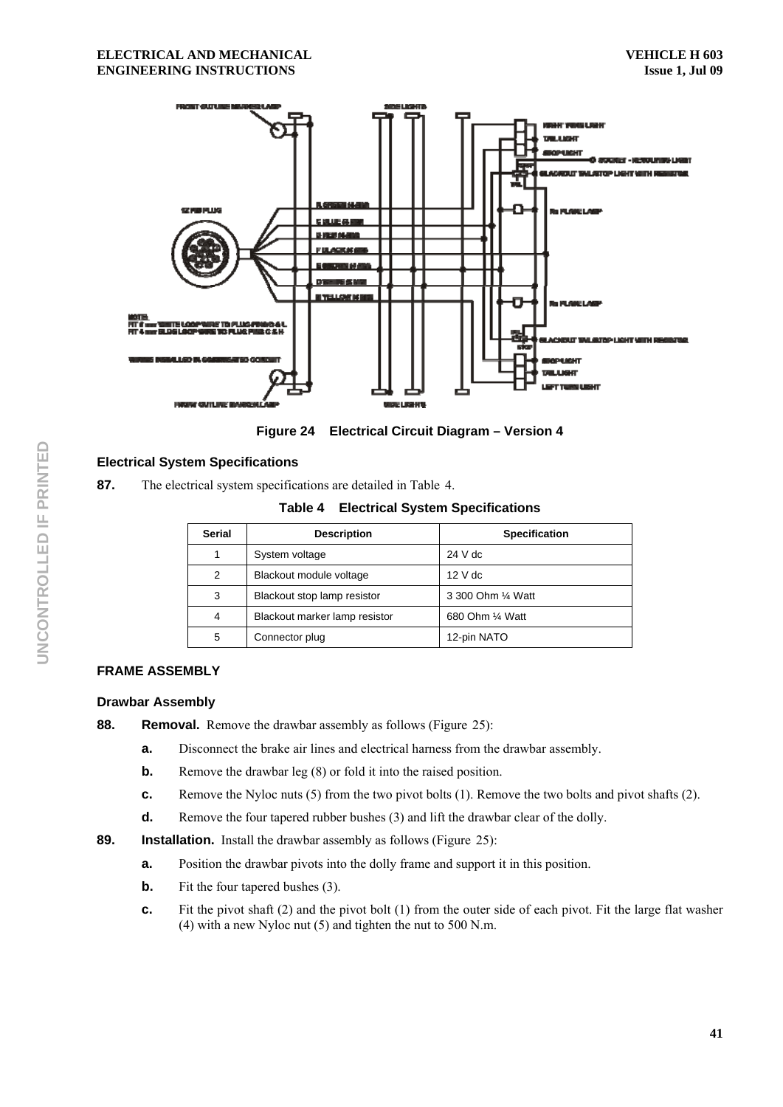

**Figure 24 Electrical Circuit Diagram – Version 4** 

# **Electrical System Specifications**

87. The electrical system specifications are detailed in Table 4.

**Table 4 Electrical System Specifications** 

| <b>Serial</b> | <b>Description</b>            | <b>Specification</b> |  |  |
|---------------|-------------------------------|----------------------|--|--|
|               | System voltage                | $24$ V dc            |  |  |
| 2             | Blackout module voltage       | $12V$ dc             |  |  |
| 3             | Blackout stop lamp resistor   | 3 300 Ohm 1/4 Watt   |  |  |
| 4             | Blackout marker lamp resistor | 680 Ohm 1/4 Watt     |  |  |
| 5             | Connector plug                | 12-pin NATO          |  |  |

# **FRAME ASSEMBLY**

# **Drawbar Assembly**

**88.** Removal. Remove the drawbar assembly as follows (Figure 25):

- **a.** Disconnect the brake air lines and electrical harness from the drawbar assembly.
- **b.** Remove the drawbar leg (8) or fold it into the raised position.
- **c.** Remove the Nyloc nuts (5) from the two pivot bolts (1). Remove the two bolts and pivot shafts (2).
- **d.** Remove the four tapered rubber bushes (3) and lift the drawbar clear of the dolly.
- **89.** Installation. Install the drawbar assembly as follows (Figure 25):
	- **a.** Position the drawbar pivots into the dolly frame and support it in this position.
	- **b.** Fit the four tapered bushes (3).
	- **c.** Fit the pivot shaft (2) and the pivot bolt (1) from the outer side of each pivot. Fit the large flat washer (4) with a new Nyloc nut (5) and tighten the nut to 500 N.m.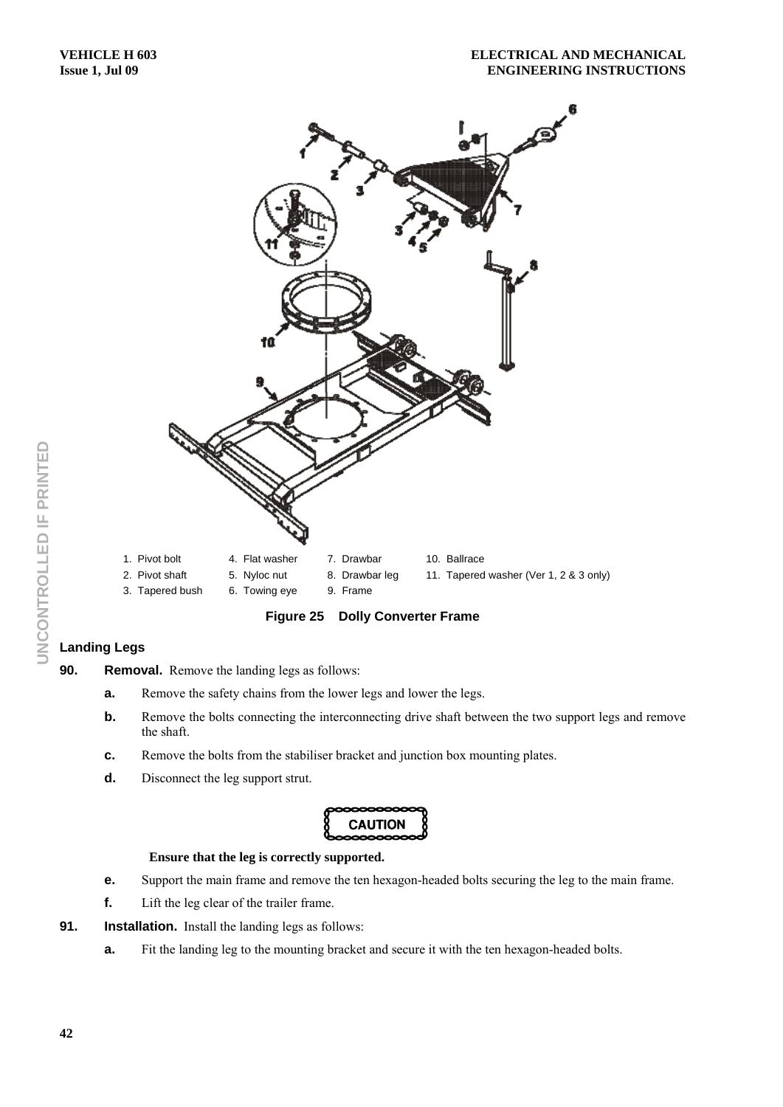

**Figure 25 Dolly Converter Frame** 

# **Landing Legs**

- **90.** Removal. Remove the landing legs as follows:
	- **a.** Remove the safety chains from the lower legs and lower the legs.
	- **b.** Remove the bolts connecting the interconnecting drive shaft between the two support legs and remove the shaft.
	- **c.** Remove the bolts from the stabiliser bracket and junction box mounting plates.
	- **d.** Disconnect the leg support strut.



#### **Ensure that the leg is correctly supported.**

- **e.** Support the main frame and remove the ten hexagon-headed bolts securing the leg to the main frame.
- **f.** Lift the leg clear of the trailer frame.
- **91.** Installation. Install the landing legs as follows:
	- **a.** Fit the landing leg to the mounting bracket and secure it with the ten hexagon-headed bolts.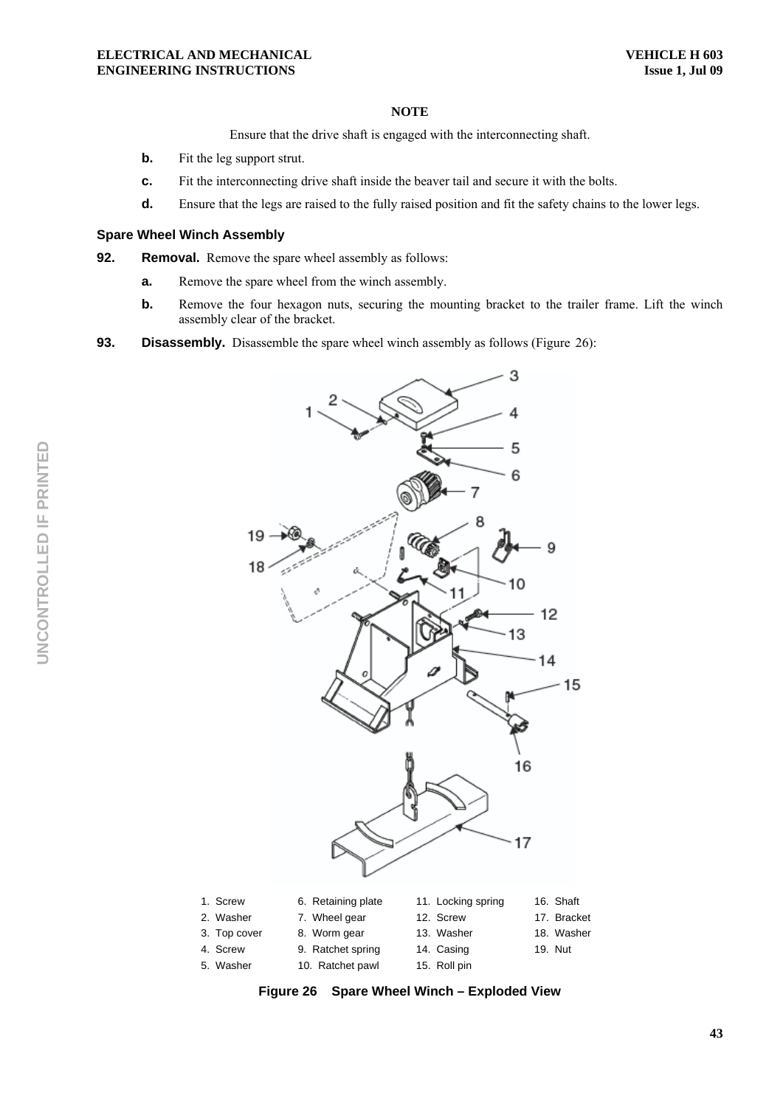Ensure that the drive shaft is engaged with the interconnecting shaft.

- **b.** Fit the leg support strut.
- **c.** Fit the interconnecting drive shaft inside the beaver tail and secure it with the bolts.
- **d.** Ensure that the legs are raised to the fully raised position and fit the safety chains to the lower legs.

#### **Spare Wheel Winch Assembly**

**92.** Removal. Remove the spare wheel assembly as follows:

- **a.** Remove the spare wheel from the winch assembly.
- **b.** Remove the four hexagon nuts, securing the mounting bracket to the trailer frame. Lift the winch assembly clear of the bracket.
- **93. Disassembly.** Disassemble the spare wheel winch assembly as follows (Figure 26):



**Figure 26 Spare Wheel Winch – Exploded View**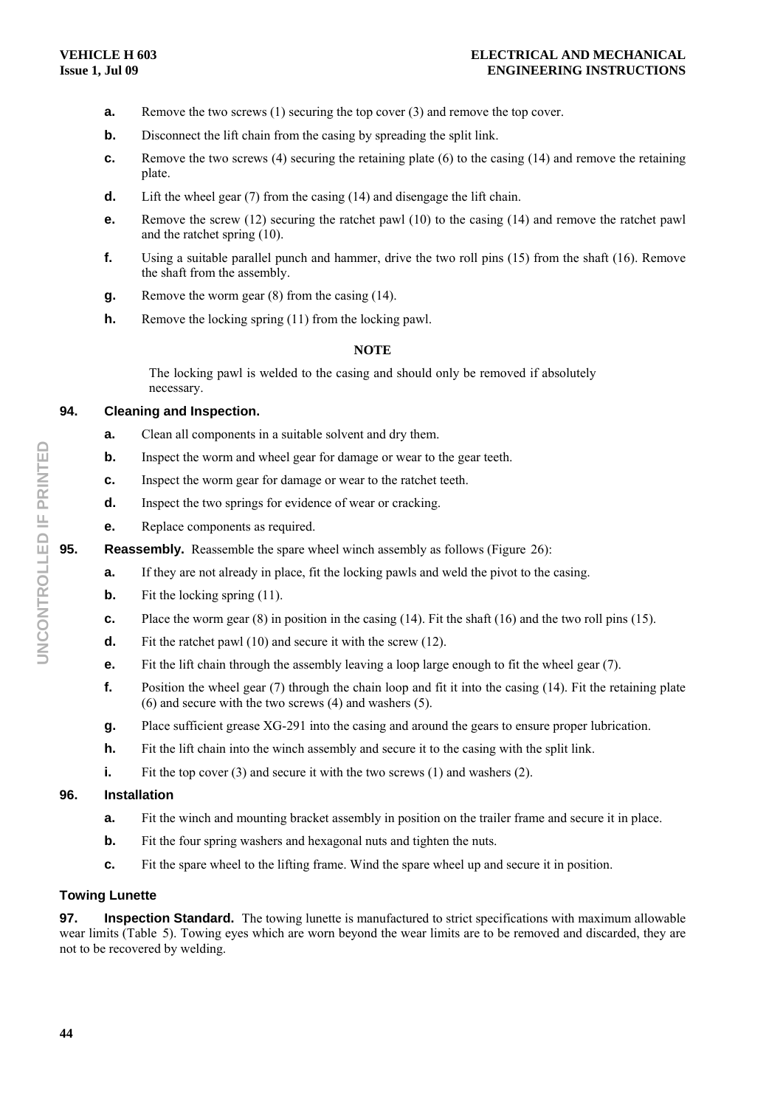- **a.** Remove the two screws (1) securing the top cover (3) and remove the top cover.
- **b.** Disconnect the lift chain from the casing by spreading the split link.
- **c.** Remove the two screws (4) securing the retaining plate (6) to the casing (14) and remove the retaining plate.
- **d.** Lift the wheel gear (7) from the casing (14) and disengage the lift chain.
- **e.** Remove the screw (12) securing the ratchet pawl (10) to the casing (14) and remove the ratchet pawl and the ratchet spring (10).
- **f.** Using a suitable parallel punch and hammer, drive the two roll pins (15) from the shaft (16). Remove the shaft from the assembly.
- **g.** Remove the worm gear (8) from the casing (14).
- **h.** Remove the locking spring (11) from the locking pawl.

The locking pawl is welded to the casing and should only be removed if absolutely necessary.

# **94. Cleaning and Inspection.**

- **a.** Clean all components in a suitable solvent and dry them.
- **b.** Inspect the worm and wheel gear for damage or wear to the gear teeth.
- **c.** Inspect the worm gear for damage or wear to the ratchet teeth.
- **d.** Inspect the two springs for evidence of wear or cracking.
- **e.** Replace components as required.
- **95.** Reassembly. Reassemble the spare wheel winch assembly as follows (Figure 26):
	- **a.** If they are not already in place, fit the locking pawls and weld the pivot to the casing.
	- **b.** Fit the locking spring (11).
	- **c.** Place the worm gear (8) in position in the casing (14). Fit the shaft (16) and the two roll pins (15).
	- **d.** Fit the ratchet pawl (10) and secure it with the screw (12).
	- **e.** Fit the lift chain through the assembly leaving a loop large enough to fit the wheel gear (7).
	- **f.** Position the wheel gear (7) through the chain loop and fit it into the casing (14). Fit the retaining plate (6) and secure with the two screws (4) and washers (5).
	- **g.** Place sufficient grease XG-291 into the casing and around the gears to ensure proper lubrication.
	- **h.** Fit the lift chain into the winch assembly and secure it to the casing with the split link.
	- **i.** Fit the top cover (3) and secure it with the two screws (1) and washers (2).

#### **96. Installation**

- **a.** Fit the winch and mounting bracket assembly in position on the trailer frame and secure it in place.
- **b.** Fit the four spring washers and hexagonal nuts and tighten the nuts.
- **c.** Fit the spare wheel to the lifting frame. Wind the spare wheel up and secure it in position.

#### **Towing Lunette**

**97. Inspection Standard.** The towing lunette is manufactured to strict specifications with maximum allowable wear limits (Table 5). Towing eyes which are worn beyond the wear limits are to be removed and discarded, they are not to be recovered by welding.